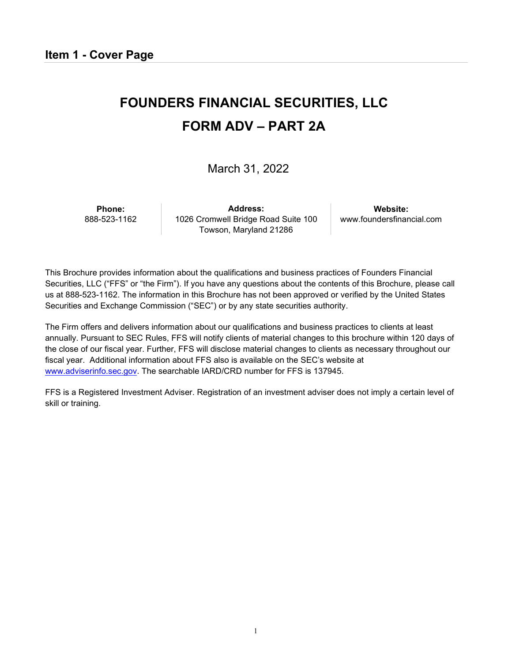# <span id="page-0-0"></span>**FOUNDERS FINANCIAL SECURITIES, LLC FORM ADV – PART 2A**

March 31, 2022

**Phone:** 888-523-1162

**Address:** 1026 Cromwell Bridge Road Suite 100 Towson, Maryland 21286

**Website:** [www.foundersfinancial.com](http://www.foundersfinancial.com/)

This Brochure provides information about the qualifications and business practices of Founders Financial Securities, LLC ("FFS" or "the Firm"). If you have any questions about the contents of this Brochure, please call us at 888-523-1162. The information in this Brochure has not been approved or verified by the United States Securities and Exchange Commission ("SEC") or by any state securities authority.

The Firm offers and delivers information about our qualifications and business practices to clients at least annually. Pursuant to SEC Rules, FFS will notify clients of material changes to this brochure within 120 days of the close of our fiscal year. Further, FFS will disclose material changes to clients as necessary throughout our fiscal year. Additional information about FFS also is available on the SEC's website at [www.adviserinfo.sec.gov.](http://www.adviserinfo.sec.gov/) The searchable IARD/CRD number for FFS is 137945.

FFS is a Registered Investment Adviser. Registration of an investment adviser does not imply a certain level of skill or training.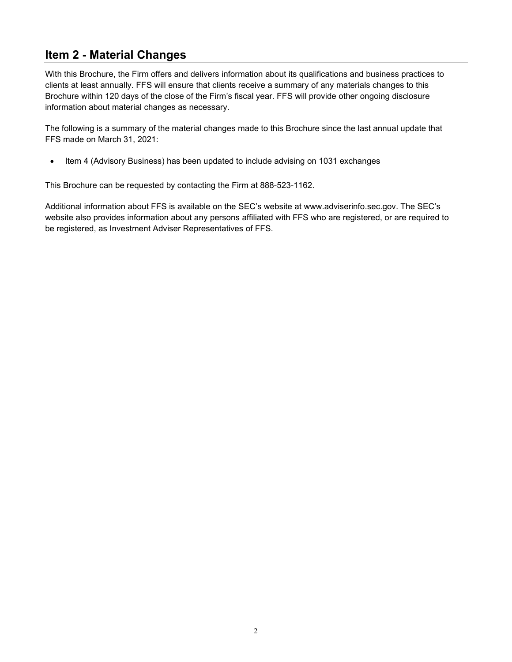# <span id="page-1-0"></span>**Item 2 - Material Changes**

With this Brochure, the Firm offers and delivers information about its qualifications and business practices to clients at least annually. FFS will ensure that clients receive a summary of any materials changes to this Brochure within 120 days of the close of the Firm's fiscal year. FFS will provide other ongoing disclosure information about material changes as necessary.

The following is a summary of the material changes made to this Brochure since the last annual update that FFS made on March 31, 2021:

• Item 4 (Advisory Business) has been updated to include advising on 1031 exchanges

This Brochure can be requested by contacting the Firm at 888-523-1162.

Additional information about FFS is available on the SEC's website at [www.adviserinfo.sec.gov. T](http://www.adviserinfo.sec.gov/)he SEC's website also provides information about any persons affiliated with FFS who are registered, or are required to be registered, as Investment Adviser Representatives of FFS.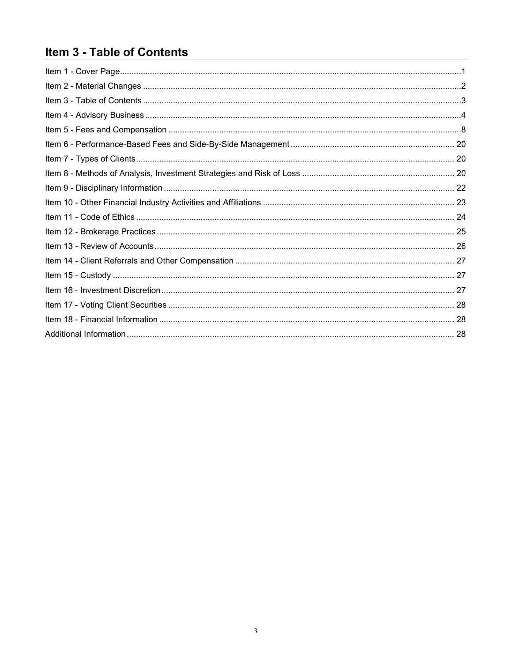# <span id="page-2-0"></span>Item 3 - Table of Contents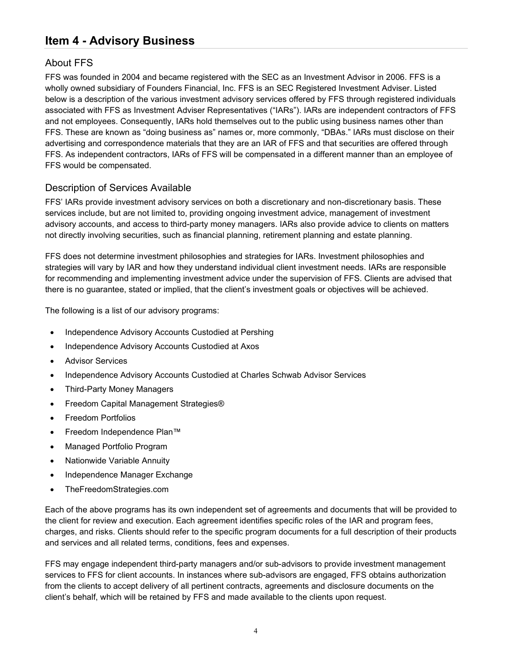# <span id="page-3-0"></span>**Item 4 - Advisory Business**

### About FFS

FFS was founded in 2004 and became registered with the SEC as an Investment Advisor in 2006. FFS is a wholly owned subsidiary of Founders Financial, Inc. FFS is an SEC Registered Investment Adviser. Listed below is a description of the various investment advisory services offered by FFS through registered individuals associated with FFS as Investment Adviser Representatives ("IARs"). IARs are independent contractors of FFS and not employees. Consequently, IARs hold themselves out to the public using business names other than FFS. These are known as "doing business as" names or, more commonly, "DBAs." IARs must disclose on their advertising and correspondence materials that they are an IAR of FFS and that securities are offered through FFS. As independent contractors, IARs of FFS will be compensated in a different manner than an employee of FFS would be compensated.

### Description of Services Available

FFS' IARs provide investment advisory services on both a discretionary and non-discretionary basis. These services include, but are not limited to, providing ongoing investment advice, management of investment advisory accounts, and access to third-party money managers. IARs also provide advice to clients on matters not directly involving securities, such as financial planning, retirement planning and estate planning.

FFS does not determine investment philosophies and strategies for IARs. Investment philosophies and strategies will vary by IAR and how they understand individual client investment needs. IARs are responsible for recommending and implementing investment advice under the supervision of FFS. Clients are advised that there is no guarantee, stated or implied, that the client's investment goals or objectives will be achieved.

The following is a list of our advisory programs:

- Independence Advisory Accounts Custodied at Pershing
- Independence Advisory Accounts Custodied at Axos
- Advisor Services
- Independence Advisory Accounts Custodied at Charles Schwab Advisor Services
- Third-Party Money Managers
- Freedom Capital Management Strategies®
- Freedom Portfolios
- Freedom Independence Plan™
- Managed Portfolio Program
- Nationwide Variable Annuity
- Independence Manager Exchange
- TheFreedomStrategies.com

Each of the above programs has its own independent set of agreements and documents that will be provided to the client for review and execution. Each agreement identifies specific roles of the IAR and program fees, charges, and risks. Clients should refer to the specific program documents for a full description of their products and services and all related terms, conditions, fees and expenses.

FFS may engage independent third-party managers and/or sub-advisors to provide investment management services to FFS for client accounts. In instances where sub-advisors are engaged, FFS obtains authorization from the clients to accept delivery of all pertinent contracts, agreements and disclosure documents on the client's behalf, which will be retained by FFS and made available to the clients upon request.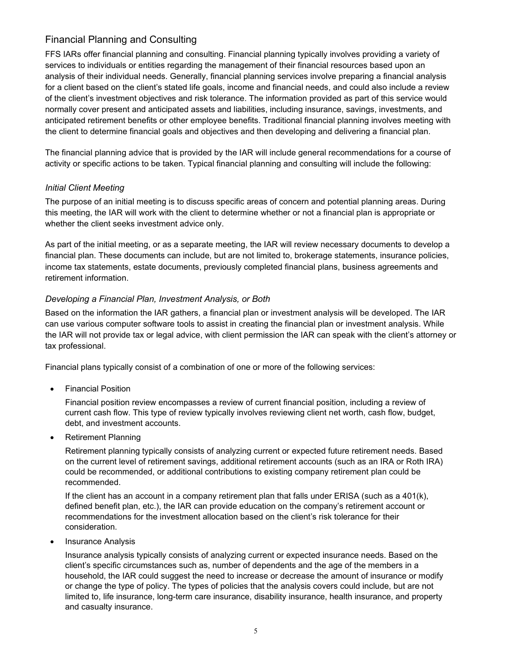### Financial Planning and Consulting

FFS IARs offer financial planning and consulting. Financial planning typically involves providing a variety of services to individuals or entities regarding the management of their financial resources based upon an analysis of their individual needs. Generally, financial planning services involve preparing a financial analysis for a client based on the client's stated life goals, income and financial needs, and could also include a review of the client's investment objectives and risk tolerance. The information provided as part of this service would normally cover present and anticipated assets and liabilities, including insurance, savings, investments, and anticipated retirement benefits or other employee benefits. Traditional financial planning involves meeting with the client to determine financial goals and objectives and then developing and delivering a financial plan.

The financial planning advice that is provided by the IAR will include general recommendations for a course of activity or specific actions to be taken. Typical financial planning and consulting will include the following:

#### *Initial Client Meeting*

The purpose of an initial meeting is to discuss specific areas of concern and potential planning areas. During this meeting, the IAR will work with the client to determine whether or not a financial plan is appropriate or whether the client seeks investment advice only.

As part of the initial meeting, or as a separate meeting, the IAR will review necessary documents to develop a financial plan. These documents can include, but are not limited to, brokerage statements, insurance policies, income tax statements, estate documents, previously completed financial plans, business agreements and retirement information.

#### *Developing a Financial Plan, Investment Analysis, or Both*

Based on the information the IAR gathers, a financial plan or investment analysis will be developed. The IAR can use various computer software tools to assist in creating the financial plan or investment analysis. While the IAR will not provide tax or legal advice, with client permission the IAR can speak with the client's attorney or tax professional.

Financial plans typically consist of a combination of one or more of the following services:

• Financial Position

Financial position review encompasses a review of current financial position, including a review of current cash flow. This type of review typically involves reviewing client net worth, cash flow, budget, debt, and investment accounts.

• Retirement Planning

Retirement planning typically consists of analyzing current or expected future retirement needs. Based on the current level of retirement savings, additional retirement accounts (such as an IRA or Roth IRA) could be recommended, or additional contributions to existing company retirement plan could be recommended.

If the client has an account in a company retirement plan that falls under ERISA (such as a 401(k), defined benefit plan, etc.), the IAR can provide education on the company's retirement account or recommendations for the investment allocation based on the client's risk tolerance for their consideration.

• Insurance Analysis

Insurance analysis typically consists of analyzing current or expected insurance needs. Based on the client's specific circumstances such as, number of dependents and the age of the members in a household, the IAR could suggest the need to increase or decrease the amount of insurance or modify or change the type of policy. The types of policies that the analysis covers could include, but are not limited to, life insurance, long-term care insurance, disability insurance, health insurance, and property and casualty insurance.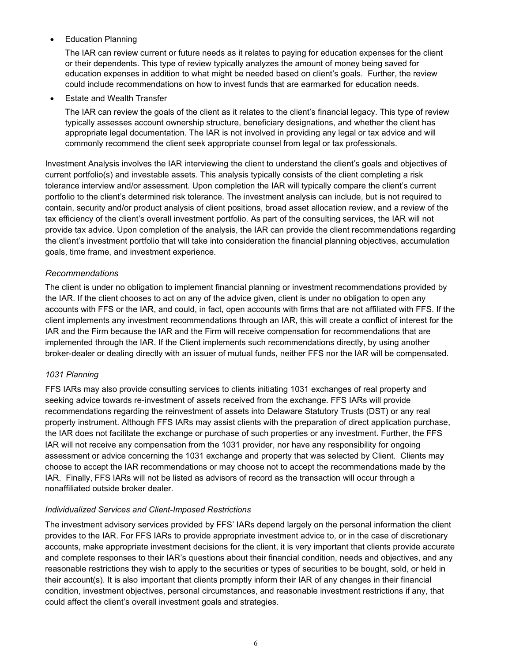• Education Planning

The IAR can review current or future needs as it relates to paying for education expenses for the client or their dependents. This type of review typically analyzes the amount of money being saved for education expenses in addition to what might be needed based on client's goals. Further, the review could include recommendations on how to invest funds that are earmarked for education needs.

• Estate and Wealth Transfer

The IAR can review the goals of the client as it relates to the client's financial legacy. This type of review typically assesses account ownership structure, beneficiary designations, and whether the client has appropriate legal documentation. The IAR is not involved in providing any legal or tax advice and will commonly recommend the client seek appropriate counsel from legal or tax professionals.

Investment Analysis involves the IAR interviewing the client to understand the client's goals and objectives of current portfolio(s) and investable assets. This analysis typically consists of the client completing a risk tolerance interview and/or assessment. Upon completion the IAR will typically compare the client's current portfolio to the client's determined risk tolerance. The investment analysis can include, but is not required to contain, security and/or product analysis of client positions, broad asset allocation review, and a review of the tax efficiency of the client's overall investment portfolio. As part of the consulting services, the IAR will not provide tax advice. Upon completion of the analysis, the IAR can provide the client recommendations regarding the client's investment portfolio that will take into consideration the financial planning objectives, accumulation goals, time frame, and investment experience.

#### *Recommendations*

The client is under no obligation to implement financial planning or investment recommendations provided by the IAR. If the client chooses to act on any of the advice given, client is under no obligation to open any accounts with FFS or the IAR, and could, in fact, open accounts with firms that are not affiliated with FFS. If the client implements any investment recommendations through an IAR, this will create a conflict of interest for the IAR and the Firm because the IAR and the Firm will receive compensation for recommendations that are implemented through the IAR. If the Client implements such recommendations directly, by using another broker-dealer or dealing directly with an issuer of mutual funds, neither FFS nor the IAR will be compensated.

#### *1031 Planning*

FFS IARs may also provide consulting services to clients initiating 1031 exchanges of real property and seeking advice towards re-investment of assets received from the exchange. FFS IARs will provide recommendations regarding the reinvestment of assets into Delaware Statutory Trusts (DST) or any real property instrument. Although FFS IARs may assist clients with the preparation of direct application purchase, the IAR does not facilitate the exchange or purchase of such properties or any investment. Further, the FFS IAR will not receive any compensation from the 1031 provider, nor have any responsibility for ongoing assessment or advice concerning the 1031 exchange and property that was selected by Client. Clients may choose to accept the IAR recommendations or may choose not to accept the recommendations made by the IAR. Finally, FFS IARs will not be listed as advisors of record as the transaction will occur through a nonaffiliated outside broker dealer.

#### *Individualized Services and Client-Imposed Restrictions*

The investment advisory services provided by FFS' IARs depend largely on the personal information the client provides to the IAR. For FFS IARs to provide appropriate investment advice to, or in the case of discretionary accounts, make appropriate investment decisions for the client, it is very important that clients provide accurate and complete responses to their IAR's questions about their financial condition, needs and objectives, and any reasonable restrictions they wish to apply to the securities or types of securities to be bought, sold, or held in their account(s). It is also important that clients promptly inform their IAR of any changes in their financial condition, investment objectives, personal circumstances, and reasonable investment restrictions if any, that could affect the client's overall investment goals and strategies.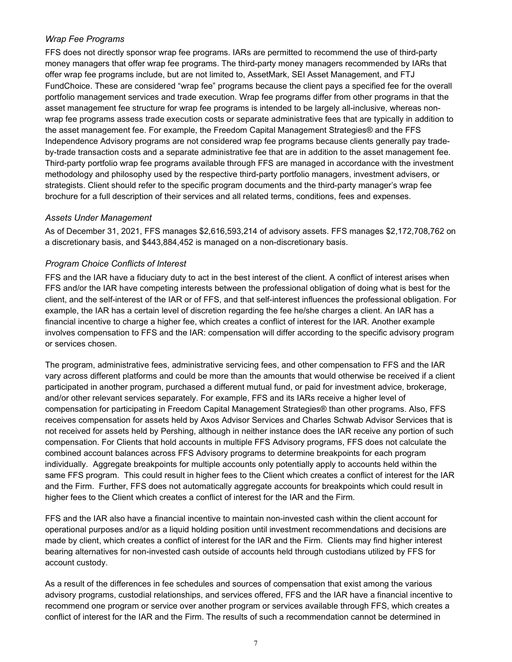#### *Wrap Fee Programs*

FFS does not directly sponsor wrap fee programs. IARs are permitted to recommend the use of third-party money managers that offer wrap fee programs. The third-party money managers recommended by IARs that offer wrap fee programs include, but are not limited to, AssetMark, SEI Asset Management, and FTJ FundChoice. These are considered "wrap fee" programs because the client pays a specified fee for the overall portfolio management services and trade execution. Wrap fee programs differ from other programs in that the asset management fee structure for wrap fee programs is intended to be largely all-inclusive, whereas nonwrap fee programs assess trade execution costs or separate administrative fees that are typically in addition to the asset management fee. For example, the Freedom Capital Management Strategies® and the FFS Independence Advisory programs are not considered wrap fee programs because clients generally pay tradeby-trade transaction costs and a separate administrative fee that are in addition to the asset management fee. Third-party portfolio wrap fee programs available through FFS are managed in accordance with the investment methodology and philosophy used by the respective third-party portfolio managers, investment advisers, or strategists. Client should refer to the specific program documents and the third-party manager's wrap fee brochure for a full description of their services and all related terms, conditions, fees and expenses.

#### *Assets Under Management*

As of December 31, 2021, FFS manages \$2,616,593,214 of advisory assets. FFS manages \$2,172,708,762 on a discretionary basis, and \$443,884,452 is managed on a non-discretionary basis.

#### *Program Choice Conflicts of Interest*

FFS and the IAR have a fiduciary duty to act in the best interest of the client. A conflict of interest arises when FFS and/or the IAR have competing interests between the professional obligation of doing what is best for the client, and the self-interest of the IAR or of FFS, and that self-interest influences the professional obligation. For example, the IAR has a certain level of discretion regarding the fee he/she charges a client. An IAR has a financial incentive to charge a higher fee, which creates a conflict of interest for the IAR. Another example involves compensation to FFS and the IAR: compensation will differ according to the specific advisory program or services chosen.

The program, administrative fees, administrative servicing fees, and other compensation to FFS and the IAR vary across different platforms and could be more than the amounts that would otherwise be received if a client participated in another program, purchased a different mutual fund, or paid for investment advice, brokerage, and/or other relevant services separately. For example, FFS and its IARs receive a higher level of compensation for participating in Freedom Capital Management Strategies® than other programs. Also, FFS receives compensation for assets held by Axos Advisor Services and Charles Schwab Advisor Services that is not received for assets held by Pershing, although in neither instance does the IAR receive any portion of such compensation. For Clients that hold accounts in multiple FFS Advisory programs, FFS does not calculate the combined account balances across FFS Advisory programs to determine breakpoints for each program individually. Aggregate breakpoints for multiple accounts only potentially apply to accounts held within the same FFS program. This could result in higher fees to the Client which creates a conflict of interest for the IAR and the Firm. Further, FFS does not automatically aggregate accounts for breakpoints which could result in higher fees to the Client which creates a conflict of interest for the IAR and the Firm.

FFS and the IAR also have a financial incentive to maintain non-invested cash within the client account for operational purposes and/or as a liquid holding position until investment recommendations and decisions are made by client, which creates a conflict of interest for the IAR and the Firm. Clients may find higher interest bearing alternatives for non-invested cash outside of accounts held through custodians utilized by FFS for account custody.

As a result of the differences in fee schedules and sources of compensation that exist among the various advisory programs, custodial relationships, and services offered, FFS and the IAR have a financial incentive to recommend one program or service over another program or services available through FFS, which creates a conflict of interest for the IAR and the Firm. The results of such a recommendation cannot be determined in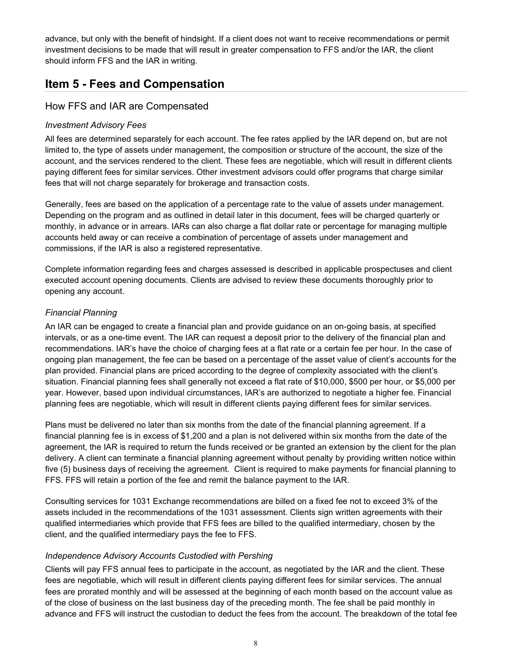advance, but only with the benefit of hindsight. If a client does not want to receive recommendations or permit investment decisions to be made that will result in greater compensation to FFS and/or the IAR, the client should inform FFS and the IAR in writing.

### <span id="page-7-0"></span>**Item 5 - Fees and Compensation**

### How FFS and IAR are Compensated

#### *Investment Advisory Fees*

All fees are determined separately for each account. The fee rates applied by the IAR depend on, but are not limited to, the type of assets under management, the composition or structure of the account, the size of the account, and the services rendered to the client. These fees are negotiable, which will result in different clients paying different fees for similar services. Other investment advisors could offer programs that charge similar fees that will not charge separately for brokerage and transaction costs.

Generally, fees are based on the application of a percentage rate to the value of assets under management. Depending on the program and as outlined in detail later in this document, fees will be charged quarterly or monthly, in advance or in arrears. IARs can also charge a flat dollar rate or percentage for managing multiple accounts held away or can receive a combination of percentage of assets under management and commissions, if the IAR is also a registered representative.

Complete information regarding fees and charges assessed is described in applicable prospectuses and client executed account opening documents. Clients are advised to review these documents thoroughly prior to opening any account.

#### *Financial Planning*

An IAR can be engaged to create a financial plan and provide guidance on an on-going basis, at specified intervals, or as a one-time event. The IAR can request a deposit prior to the delivery of the financial plan and recommendations. IAR's have the choice of charging fees at a flat rate or a certain fee per hour. In the case of ongoing plan management, the fee can be based on a percentage of the asset value of client's accounts for the plan provided. Financial plans are priced according to the degree of complexity associated with the client's situation. Financial planning fees shall generally not exceed a flat rate of \$10,000, \$500 per hour, or \$5,000 per year. However, based upon individual circumstances, IAR's are authorized to negotiate a higher fee. Financial planning fees are negotiable, which will result in different clients paying different fees for similar services.

Plans must be delivered no later than six months from the date of the financial planning agreement. If a financial planning fee is in excess of \$1,200 and a plan is not delivered within six months from the date of the agreement, the IAR is required to return the funds received or be granted an extension by the client for the plan delivery. A client can terminate a financial planning agreement without penalty by providing written notice within five (5) business days of receiving the agreement. Client is required to make payments for financial planning to FFS. FFS will retain a portion of the fee and remit the balance payment to the IAR.

Consulting services for 1031 Exchange recommendations are billed on a fixed fee not to exceed 3% of the assets included in the recommendations of the 1031 assessment. Clients sign written agreements with their qualified intermediaries which provide that FFS fees are billed to the qualified intermediary, chosen by the client, and the qualified intermediary pays the fee to FFS.

#### *Independence Advisory Accounts Custodied with Pershing*

Clients will pay FFS annual fees to participate in the account, as negotiated by the IAR and the client. These fees are negotiable, which will result in different clients paying different fees for similar services. The annual fees are prorated monthly and will be assessed at the beginning of each month based on the account value as of the close of business on the last business day of the preceding month. The fee shall be paid monthly in advance and FFS will instruct the custodian to deduct the fees from the account. The breakdown of the total fee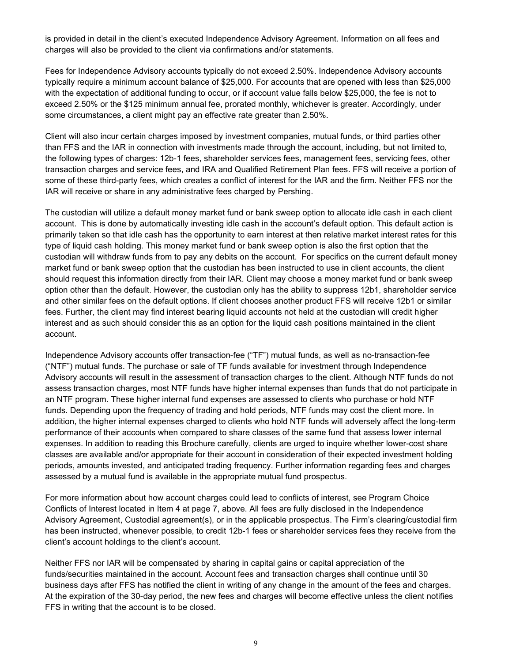is provided in detail in the client's executed Independence Advisory Agreement. Information on all fees and charges will also be provided to the client via confirmations and/or statements.

Fees for Independence Advisory accounts typically do not exceed 2.50%. Independence Advisory accounts typically require a minimum account balance of \$25,000. For accounts that are opened with less than \$25,000 with the expectation of additional funding to occur, or if account value falls below \$25,000, the fee is not to exceed 2.50% or the \$125 minimum annual fee, prorated monthly, whichever is greater. Accordingly, under some circumstances, a client might pay an effective rate greater than 2.50%.

Client will also incur certain charges imposed by investment companies, mutual funds, or third parties other than FFS and the IAR in connection with investments made through the account, including, but not limited to, the following types of charges: 12b-1 fees, shareholder services fees, management fees, servicing fees, other transaction charges and service fees, and IRA and Qualified Retirement Plan fees. FFS will receive a portion of some of these third-party fees, which creates a conflict of interest for the IAR and the firm. Neither FFS nor the IAR will receive or share in any administrative fees charged by Pershing.

The custodian will utilize a default money market fund or bank sweep option to allocate idle cash in each client account. This is done by automatically investing idle cash in the account's default option. This default action is primarily taken so that idle cash has the opportunity to earn interest at then relative market interest rates for this type of liquid cash holding. This money market fund or bank sweep option is also the first option that the custodian will withdraw funds from to pay any debits on the account. For specifics on the current default money market fund or bank sweep option that the custodian has been instructed to use in client accounts, the client should request this information directly from their IAR. Client may choose a money market fund or bank sweep option other than the default. However, the custodian only has the ability to suppress 12b1, shareholder service and other similar fees on the default options. If client chooses another product FFS will receive 12b1 or similar fees. Further, the client may find interest bearing liquid accounts not held at the custodian will credit higher interest and as such should consider this as an option for the liquid cash positions maintained in the client account.

Independence Advisory accounts offer transaction-fee ("TF") mutual funds, as well as no-transaction-fee ("NTF") mutual funds. The purchase or sale of TF funds available for investment through Independence Advisory accounts will result in the assessment of transaction charges to the client. Although NTF funds do not assess transaction charges, most NTF funds have higher internal expenses than funds that do not participate in an NTF program. These higher internal fund expenses are assessed to clients who purchase or hold NTF funds. Depending upon the frequency of trading and hold periods, NTF funds may cost the client more. In addition, the higher internal expenses charged to clients who hold NTF funds will adversely affect the long-term performance of their accounts when compared to share classes of the same fund that assess lower internal expenses. In addition to reading this Brochure carefully, clients are urged to inquire whether lower-cost share classes are available and/or appropriate for their account in consideration of their expected investment holding periods, amounts invested, and anticipated trading frequency. Further information regarding fees and charges assessed by a mutual fund is available in the appropriate mutual fund prospectus.

For more information about how account charges could lead to conflicts of interest, see Program Choice Conflicts of Interest located in Item 4 at page 7, above. All fees are fully disclosed in the Independence Advisory Agreement, Custodial agreement(s), or in the applicable prospectus. The Firm's clearing/custodial firm has been instructed, whenever possible, to credit 12b-1 fees or shareholder services fees they receive from the client's account holdings to the client's account.

Neither FFS nor IAR will be compensated by sharing in capital gains or capital appreciation of the funds/securities maintained in the account. Account fees and transaction charges shall continue until 30 business days after FFS has notified the client in writing of any change in the amount of the fees and charges. At the expiration of the 30-day period, the new fees and charges will become effective unless the client notifies FFS in writing that the account is to be closed.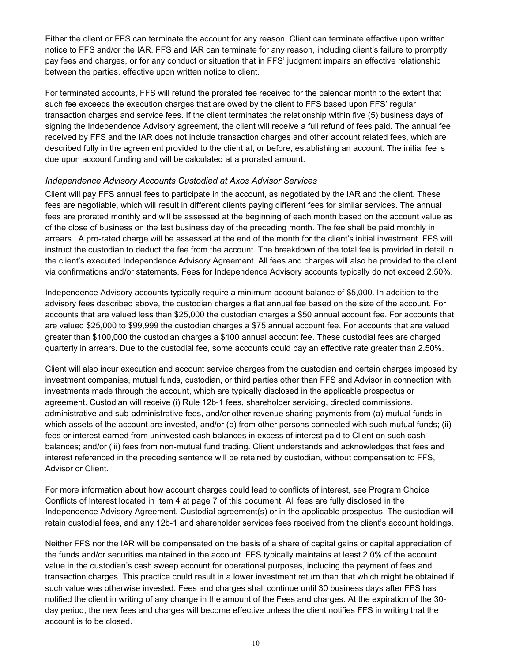Either the client or FFS can terminate the account for any reason. Client can terminate effective upon written notice to FFS and/or the IAR. FFS and IAR can terminate for any reason, including client's failure to promptly pay fees and charges, or for any conduct or situation that in FFS' judgment impairs an effective relationship between the parties, effective upon written notice to client.

For terminated accounts, FFS will refund the prorated fee received for the calendar month to the extent that such fee exceeds the execution charges that are owed by the client to FFS based upon FFS' regular transaction charges and service fees. If the client terminates the relationship within five (5) business days of signing the Independence Advisory agreement, the client will receive a full refund of fees paid. The annual fee received by FFS and the IAR does not include transaction charges and other account related fees, which are described fully in the agreement provided to the client at, or before, establishing an account. The initial fee is due upon account funding and will be calculated at a prorated amount.

#### *Independence Advisory Accounts Custodied at Axos Advisor Services*

Client will pay FFS annual fees to participate in the account, as negotiated by the IAR and the client. These fees are negotiable, which will result in different clients paying different fees for similar services. The annual fees are prorated monthly and will be assessed at the beginning of each month based on the account value as of the close of business on the last business day of the preceding month. The fee shall be paid monthly in arrears. A pro-rated charge will be assessed at the end of the month for the client's initial investment. FFS will instruct the custodian to deduct the fee from the account. The breakdown of the total fee is provided in detail in the client's executed Independence Advisory Agreement. All fees and charges will also be provided to the client via confirmations and/or statements. Fees for Independence Advisory accounts typically do not exceed 2.50%.

Independence Advisory accounts typically require a minimum account balance of \$5,000. In addition to the advisory fees described above, the custodian charges a flat annual fee based on the size of the account. For accounts that are valued less than \$25,000 the custodian charges a \$50 annual account fee. For accounts that are valued \$25,000 to \$99,999 the custodian charges a \$75 annual account fee. For accounts that are valued greater than \$100,000 the custodian charges a \$100 annual account fee. These custodial fees are charged quarterly in arrears. Due to the custodial fee, some accounts could pay an effective rate greater than 2.50%.

Client will also incur execution and account service charges from the custodian and certain charges imposed by investment companies, mutual funds, custodian, or third parties other than FFS and Advisor in connection with investments made through the account, which are typically disclosed in the applicable prospectus or agreement. Custodian will receive (i) Rule 12b-1 fees, shareholder servicing, directed commissions, administrative and sub-administrative fees, and/or other revenue sharing payments from (a) mutual funds in which assets of the account are invested, and/or (b) from other persons connected with such mutual funds; (ii) fees or interest earned from uninvested cash balances in excess of interest paid to Client on such cash balances; and/or (iii) fees from non-mutual fund trading. Client understands and acknowledges that fees and interest referenced in the preceding sentence will be retained by custodian, without compensation to FFS, Advisor or Client.

For more information about how account charges could lead to conflicts of interest, see Program Choice Conflicts of Interest located in Item 4 at page 7 of this document. All fees are fully disclosed in the Independence Advisory Agreement, Custodial agreement(s) or in the applicable prospectus. The custodian will retain custodial fees, and any 12b-1 and shareholder services fees received from the client's account holdings.

Neither FFS nor the IAR will be compensated on the basis of a share of capital gains or capital appreciation of the funds and/or securities maintained in the account. FFS typically maintains at least 2.0% of the account value in the custodian's cash sweep account for operational purposes, including the payment of fees and transaction charges. This practice could result in a lower investment return than that which might be obtained if such value was otherwise invested. Fees and charges shall continue until 30 business days after FFS has notified the client in writing of any change in the amount of the Fees and charges. At the expiration of the 30 day period, the new fees and charges will become effective unless the client notifies FFS in writing that the account is to be closed.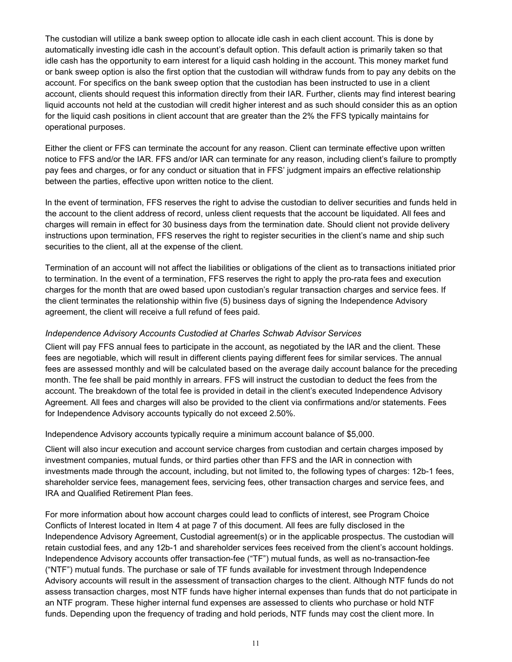The custodian will utilize a bank sweep option to allocate idle cash in each client account. This is done by automatically investing idle cash in the account's default option. This default action is primarily taken so that idle cash has the opportunity to earn interest for a liquid cash holding in the account. This money market fund or bank sweep option is also the first option that the custodian will withdraw funds from to pay any debits on the account. For specifics on the bank sweep option that the custodian has been instructed to use in a client account, clients should request this information directly from their IAR. Further, clients may find interest bearing liquid accounts not held at the custodian will credit higher interest and as such should consider this as an option for the liquid cash positions in client account that are greater than the 2% the FFS typically maintains for operational purposes.

Either the client or FFS can terminate the account for any reason. Client can terminate effective upon written notice to FFS and/or the IAR. FFS and/or IAR can terminate for any reason, including client's failure to promptly pay fees and charges, or for any conduct or situation that in FFS' judgment impairs an effective relationship between the parties, effective upon written notice to the client.

In the event of termination, FFS reserves the right to advise the custodian to deliver securities and funds held in the account to the client address of record, unless client requests that the account be liquidated. All fees and charges will remain in effect for 30 business days from the termination date. Should client not provide delivery instructions upon termination, FFS reserves the right to register securities in the client's name and ship such securities to the client, all at the expense of the client.

Termination of an account will not affect the liabilities or obligations of the client as to transactions initiated prior to termination. In the event of a termination, FFS reserves the right to apply the pro-rata fees and execution charges for the month that are owed based upon custodian's regular transaction charges and service fees. If the client terminates the relationship within five (5) business days of signing the Independence Advisory agreement, the client will receive a full refund of fees paid.

#### *Independence Advisory Accounts Custodied at Charles Schwab Advisor Services*

Client will pay FFS annual fees to participate in the account, as negotiated by the IAR and the client. These fees are negotiable, which will result in different clients paying different fees for similar services. The annual fees are assessed monthly and will be calculated based on the average daily account balance for the preceding month. The fee shall be paid monthly in arrears. FFS will instruct the custodian to deduct the fees from the account. The breakdown of the total fee is provided in detail in the client's executed Independence Advisory Agreement. All fees and charges will also be provided to the client via confirmations and/or statements. Fees for Independence Advisory accounts typically do not exceed 2.50%.

Independence Advisory accounts typically require a minimum account balance of \$5,000.

Client will also incur execution and account service charges from custodian and certain charges imposed by investment companies, mutual funds, or third parties other than FFS and the IAR in connection with investments made through the account, including, but not limited to, the following types of charges: 12b-1 fees, shareholder service fees, management fees, servicing fees, other transaction charges and service fees, and IRA and Qualified Retirement Plan fees.

For more information about how account charges could lead to conflicts of interest, see Program Choice Conflicts of Interest located in Item 4 at page 7 of this document. All fees are fully disclosed in the Independence Advisory Agreement, Custodial agreement(s) or in the applicable prospectus. The custodian will retain custodial fees, and any 12b-1 and shareholder services fees received from the client's account holdings. Independence Advisory accounts offer transaction-fee ("TF") mutual funds, as well as no-transaction-fee ("NTF") mutual funds. The purchase or sale of TF funds available for investment through Independence Advisory accounts will result in the assessment of transaction charges to the client. Although NTF funds do not assess transaction charges, most NTF funds have higher internal expenses than funds that do not participate in an NTF program. These higher internal fund expenses are assessed to clients who purchase or hold NTF funds. Depending upon the frequency of trading and hold periods, NTF funds may cost the client more. In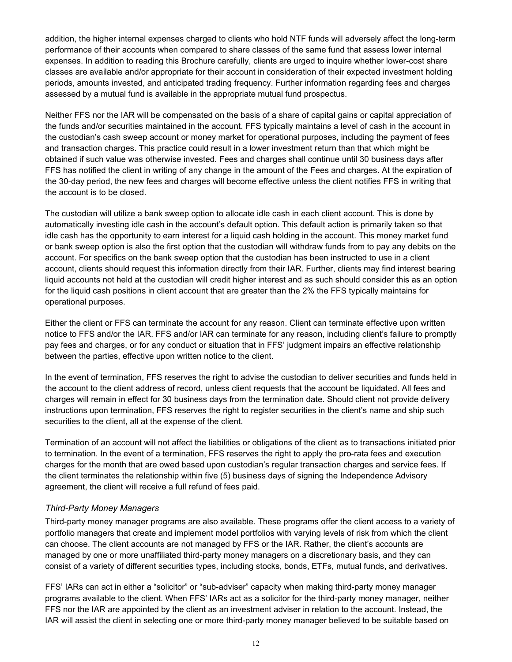addition, the higher internal expenses charged to clients who hold NTF funds will adversely affect the long-term performance of their accounts when compared to share classes of the same fund that assess lower internal expenses. In addition to reading this Brochure carefully, clients are urged to inquire whether lower-cost share classes are available and/or appropriate for their account in consideration of their expected investment holding periods, amounts invested, and anticipated trading frequency. Further information regarding fees and charges assessed by a mutual fund is available in the appropriate mutual fund prospectus.

Neither FFS nor the IAR will be compensated on the basis of a share of capital gains or capital appreciation of the funds and/or securities maintained in the account. FFS typically maintains a level of cash in the account in the custodian's cash sweep account or money market for operational purposes, including the payment of fees and transaction charges. This practice could result in a lower investment return than that which might be obtained if such value was otherwise invested. Fees and charges shall continue until 30 business days after FFS has notified the client in writing of any change in the amount of the Fees and charges. At the expiration of the 30-day period, the new fees and charges will become effective unless the client notifies FFS in writing that the account is to be closed.

The custodian will utilize a bank sweep option to allocate idle cash in each client account. This is done by automatically investing idle cash in the account's default option. This default action is primarily taken so that idle cash has the opportunity to earn interest for a liquid cash holding in the account. This money market fund or bank sweep option is also the first option that the custodian will withdraw funds from to pay any debits on the account. For specifics on the bank sweep option that the custodian has been instructed to use in a client account, clients should request this information directly from their IAR. Further, clients may find interest bearing liquid accounts not held at the custodian will credit higher interest and as such should consider this as an option for the liquid cash positions in client account that are greater than the 2% the FFS typically maintains for operational purposes.

Either the client or FFS can terminate the account for any reason. Client can terminate effective upon written notice to FFS and/or the IAR. FFS and/or IAR can terminate for any reason, including client's failure to promptly pay fees and charges, or for any conduct or situation that in FFS' judgment impairs an effective relationship between the parties, effective upon written notice to the client.

In the event of termination, FFS reserves the right to advise the custodian to deliver securities and funds held in the account to the client address of record, unless client requests that the account be liquidated. All fees and charges will remain in effect for 30 business days from the termination date. Should client not provide delivery instructions upon termination, FFS reserves the right to register securities in the client's name and ship such securities to the client, all at the expense of the client.

Termination of an account will not affect the liabilities or obligations of the client as to transactions initiated prior to termination. In the event of a termination, FFS reserves the right to apply the pro-rata fees and execution charges for the month that are owed based upon custodian's regular transaction charges and service fees. If the client terminates the relationship within five (5) business days of signing the Independence Advisory agreement, the client will receive a full refund of fees paid.

#### *Third-Party Money Managers*

Third-party money manager programs are also available. These programs offer the client access to a variety of portfolio managers that create and implement model portfolios with varying levels of risk from which the client can choose. The client accounts are not managed by FFS or the IAR. Rather, the client's accounts are managed by one or more unaffiliated third-party money managers on a discretionary basis, and they can consist of a variety of different securities types, including stocks, bonds, ETFs, mutual funds, and derivatives.

FFS' IARs can act in either a "solicitor" or "sub-adviser" capacity when making third-party money manager programs available to the client. When FFS' IARs act as a solicitor for the third-party money manager, neither FFS nor the IAR are appointed by the client as an investment adviser in relation to the account. Instead, the IAR will assist the client in selecting one or more third-party money manager believed to be suitable based on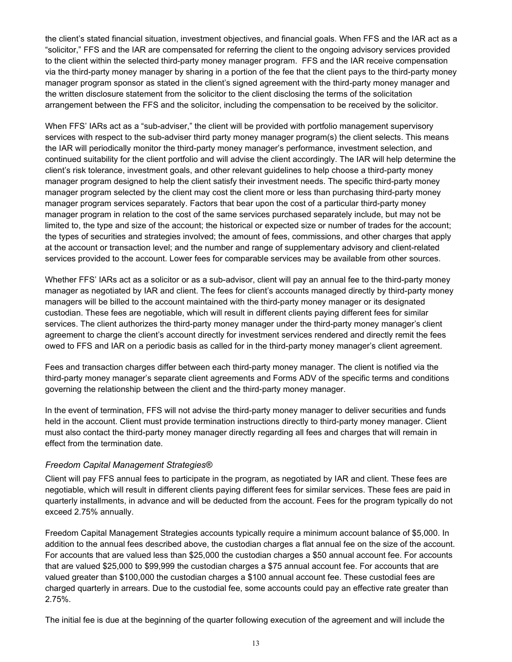the client's stated financial situation, investment objectives, and financial goals. When FFS and the IAR act as a "solicitor," FFS and the IAR are compensated for referring the client to the ongoing advisory services provided to the client within the selected third-party money manager program. FFS and the IAR receive compensation via the third-party money manager by sharing in a portion of the fee that the client pays to the third-party money manager program sponsor as stated in the client's signed agreement with the third-party money manager and the written disclosure statement from the solicitor to the client disclosing the terms of the solicitation arrangement between the FFS and the solicitor, including the compensation to be received by the solicitor.

When FFS' IARs act as a "sub-adviser," the client will be provided with portfolio management supervisory services with respect to the sub-adviser third party money manager program(s) the client selects. This means the IAR will periodically monitor the third-party money manager's performance, investment selection, and continued suitability for the client portfolio and will advise the client accordingly. The IAR will help determine the client's risk tolerance, investment goals, and other relevant guidelines to help choose a third-party money manager program designed to help the client satisfy their investment needs. The specific third-party money manager program selected by the client may cost the client more or less than purchasing third-party money manager program services separately. Factors that bear upon the cost of a particular third-party money manager program in relation to the cost of the same services purchased separately include, but may not be limited to, the type and size of the account; the historical or expected size or number of trades for the account; the types of securities and strategies involved; the amount of fees, commissions, and other charges that apply at the account or transaction level; and the number and range of supplementary advisory and client-related services provided to the account. Lower fees for comparable services may be available from other sources.

Whether FFS' IARs act as a solicitor or as a sub-advisor, client will pay an annual fee to the third-party money manager as negotiated by IAR and client. The fees for client's accounts managed directly by third-party money managers will be billed to the account maintained with the third-party money manager or its designated custodian. These fees are negotiable, which will result in different clients paying different fees for similar services. The client authorizes the third-party money manager under the third-party money manager's client agreement to charge the client's account directly for investment services rendered and directly remit the fees owed to FFS and IAR on a periodic basis as called for in the third-party money manager's client agreement.

Fees and transaction charges differ between each third-party money manager. The client is notified via the third-party money manager's separate client agreements and Forms ADV of the specific terms and conditions governing the relationship between the client and the third-party money manager.

In the event of termination, FFS will not advise the third-party money manager to deliver securities and funds held in the account. Client must provide termination instructions directly to third-party money manager. Client must also contact the third-party money manager directly regarding all fees and charges that will remain in effect from the termination date.

#### *Freedom Capital Management Strategies®*

Client will pay FFS annual fees to participate in the program, as negotiated by IAR and client. These fees are negotiable, which will result in different clients paying different fees for similar services. These fees are paid in quarterly installments, in advance and will be deducted from the account. Fees for the program typically do not exceed 2.75% annually.

Freedom Capital Management Strategies accounts typically require a minimum account balance of \$5,000. In addition to the annual fees described above, the custodian charges a flat annual fee on the size of the account. For accounts that are valued less than \$25,000 the custodian charges a \$50 annual account fee. For accounts that are valued \$25,000 to \$99,999 the custodian charges a \$75 annual account fee. For accounts that are valued greater than \$100,000 the custodian charges a \$100 annual account fee. These custodial fees are charged quarterly in arrears. Due to the custodial fee, some accounts could pay an effective rate greater than 2.75%.

The initial fee is due at the beginning of the quarter following execution of the agreement and will include the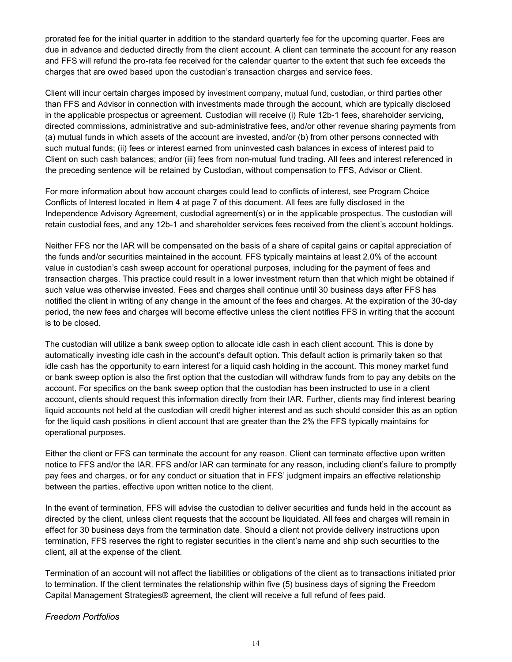prorated fee for the initial quarter in addition to the standard quarterly fee for the upcoming quarter. Fees are due in advance and deducted directly from the client account. A client can terminate the account for any reason and FFS will refund the pro-rata fee received for the calendar quarter to the extent that such fee exceeds the charges that are owed based upon the custodian's transaction charges and service fees.

Client will incur certain charges imposed by investment company, mutual fund, custodian, or third parties other than FFS and Advisor in connection with investments made through the account, which are typically disclosed in the applicable prospectus or agreement. Custodian will receive (i) Rule 12b-1 fees, shareholder servicing, directed commissions, administrative and sub-administrative fees, and/or other revenue sharing payments from (a) mutual funds in which assets of the account are invested, and/or (b) from other persons connected with such mutual funds; (ii) fees or interest earned from uninvested cash balances in excess of interest paid to Client on such cash balances; and/or (iii) fees from non-mutual fund trading. All fees and interest referenced in the preceding sentence will be retained by Custodian, without compensation to FFS, Advisor or Client.

For more information about how account charges could lead to conflicts of interest, see Program Choice Conflicts of Interest located in Item 4 at page 7 of this document. All fees are fully disclosed in the Independence Advisory Agreement, custodial agreement(s) or in the applicable prospectus. The custodian will retain custodial fees, and any 12b-1 and shareholder services fees received from the client's account holdings.

Neither FFS nor the IAR will be compensated on the basis of a share of capital gains or capital appreciation of the funds and/or securities maintained in the account. FFS typically maintains at least 2.0% of the account value in custodian's cash sweep account for operational purposes, including for the payment of fees and transaction charges. This practice could result in a lower investment return than that which might be obtained if such value was otherwise invested. Fees and charges shall continue until 30 business days after FFS has notified the client in writing of any change in the amount of the fees and charges. At the expiration of the 30-day period, the new fees and charges will become effective unless the client notifies FFS in writing that the account is to be closed.

The custodian will utilize a bank sweep option to allocate idle cash in each client account. This is done by automatically investing idle cash in the account's default option. This default action is primarily taken so that idle cash has the opportunity to earn interest for a liquid cash holding in the account. This money market fund or bank sweep option is also the first option that the custodian will withdraw funds from to pay any debits on the account. For specifics on the bank sweep option that the custodian has been instructed to use in a client account, clients should request this information directly from their IAR. Further, clients may find interest bearing liquid accounts not held at the custodian will credit higher interest and as such should consider this as an option for the liquid cash positions in client account that are greater than the 2% the FFS typically maintains for operational purposes.

Either the client or FFS can terminate the account for any reason. Client can terminate effective upon written notice to FFS and/or the IAR. FFS and/or IAR can terminate for any reason, including client's failure to promptly pay fees and charges, or for any conduct or situation that in FFS' judgment impairs an effective relationship between the parties, effective upon written notice to the client.

In the event of termination, FFS will advise the custodian to deliver securities and funds held in the account as directed by the client, unless client requests that the account be liquidated. All fees and charges will remain in effect for 30 business days from the termination date. Should a client not provide delivery instructions upon termination, FFS reserves the right to register securities in the client's name and ship such securities to the client, all at the expense of the client.

Termination of an account will not affect the liabilities or obligations of the client as to transactions initiated prior to termination. If the client terminates the relationship within five (5) business days of signing the Freedom Capital Management Strategies® agreement, the client will receive a full refund of fees paid.

*Freedom Portfolios*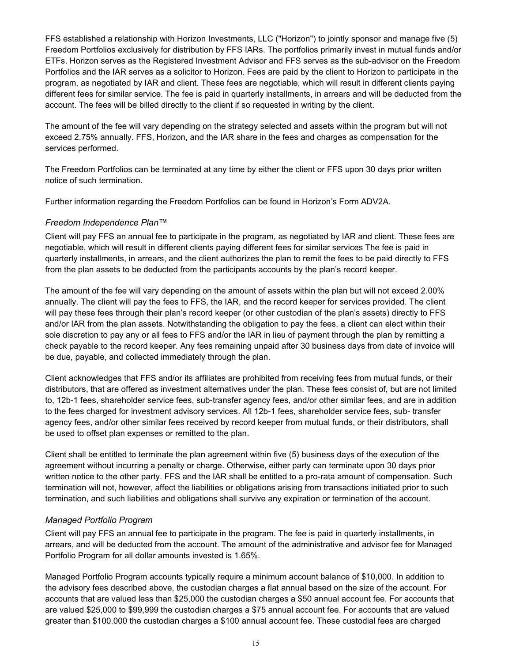FFS established a relationship with Horizon Investments, LLC ("Horizon") to jointly sponsor and manage five (5) Freedom Portfolios exclusively for distribution by FFS IARs. The portfolios primarily invest in mutual funds and/or ETFs. Horizon serves as the Registered Investment Advisor and FFS serves as the sub-advisor on the Freedom Portfolios and the IAR serves as a solicitor to Horizon. Fees are paid by the client to Horizon to participate in the program, as negotiated by IAR and client. These fees are negotiable, which will result in different clients paying different fees for similar service. The fee is paid in quarterly installments, in arrears and will be deducted from the account. The fees will be billed directly to the client if so requested in writing by the client.

The amount of the fee will vary depending on the strategy selected and assets within the program but will not exceed 2.75% annually. FFS, Horizon, and the IAR share in the fees and charges as compensation for the services performed.

The Freedom Portfolios can be terminated at any time by either the client or FFS upon 30 days prior written notice of such termination.

Further information regarding the Freedom Portfolios can be found in Horizon's Form ADV2A.

#### *Freedom Independence Plan™*

Client will pay FFS an annual fee to participate in the program, as negotiated by IAR and client. These fees are negotiable, which will result in different clients paying different fees for similar services The fee is paid in quarterly installments, in arrears, and the client authorizes the plan to remit the fees to be paid directly to FFS from the plan assets to be deducted from the participants accounts by the plan's record keeper.

The amount of the fee will vary depending on the amount of assets within the plan but will not exceed 2.00% annually. The client will pay the fees to FFS, the IAR, and the record keeper for services provided. The client will pay these fees through their plan's record keeper (or other custodian of the plan's assets) directly to FFS and/or IAR from the plan assets. Notwithstanding the obligation to pay the fees, a client can elect within their sole discretion to pay any or all fees to FFS and/or the IAR in lieu of payment through the plan by remitting a check payable to the record keeper. Any fees remaining unpaid after 30 business days from date of invoice will be due, payable, and collected immediately through the plan.

Client acknowledges that FFS and/or its affiliates are prohibited from receiving fees from mutual funds, or their distributors, that are offered as investment alternatives under the plan. These fees consist of, but are not limited to, 12b-1 fees, shareholder service fees, sub-transfer agency fees, and/or other similar fees, and are in addition to the fees charged for investment advisory services. All 12b-1 fees, shareholder service fees, sub- transfer agency fees, and/or other similar fees received by record keeper from mutual funds, or their distributors, shall be used to offset plan expenses or remitted to the plan.

Client shall be entitled to terminate the plan agreement within five (5) business days of the execution of the agreement without incurring a penalty or charge. Otherwise, either party can terminate upon 30 days prior written notice to the other party. FFS and the IAR shall be entitled to a pro-rata amount of compensation. Such termination will not, however, affect the liabilities or obligations arising from transactions initiated prior to such termination, and such liabilities and obligations shall survive any expiration or termination of the account.

#### *Managed Portfolio Program*

Client will pay FFS an annual fee to participate in the program. The fee is paid in quarterly installments, in arrears, and will be deducted from the account. The amount of the administrative and advisor fee for Managed Portfolio Program for all dollar amounts invested is 1.65%.

Managed Portfolio Program accounts typically require a minimum account balance of \$10,000. In addition to the advisory fees described above, the custodian charges a flat annual based on the size of the account. For accounts that are valued less than \$25,000 the custodian charges a \$50 annual account fee. For accounts that are valued \$25,000 to \$99,999 the custodian charges a \$75 annual account fee. For accounts that are valued greater than \$100.000 the custodian charges a \$100 annual account fee. These custodial fees are charged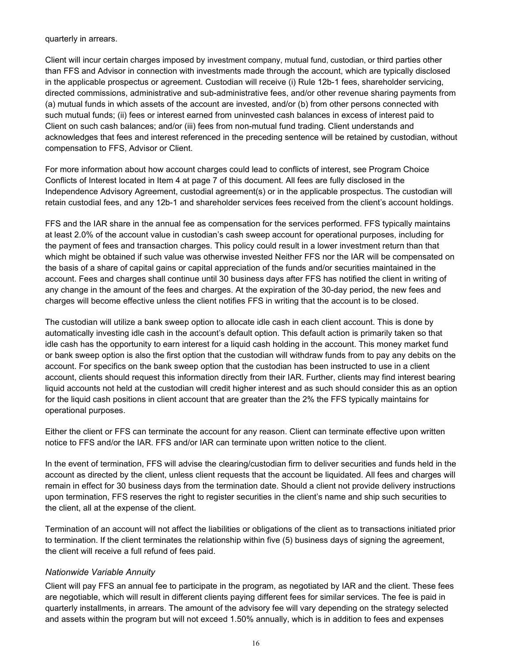quarterly in arrears.

Client will incur certain charges imposed by investment company, mutual fund, custodian, or third parties other than FFS and Advisor in connection with investments made through the account, which are typically disclosed in the applicable prospectus or agreement. Custodian will receive (i) Rule 12b-1 fees, shareholder servicing, directed commissions, administrative and sub-administrative fees, and/or other revenue sharing payments from (a) mutual funds in which assets of the account are invested, and/or (b) from other persons connected with such mutual funds; (ii) fees or interest earned from uninvested cash balances in excess of interest paid to Client on such cash balances; and/or (iii) fees from non-mutual fund trading. Client understands and acknowledges that fees and interest referenced in the preceding sentence will be retained by custodian, without compensation to FFS, Advisor or Client.

For more information about how account charges could lead to conflicts of interest, see Program Choice Conflicts of Interest located in Item 4 at page 7 of this document. All fees are fully disclosed in the Independence Advisory Agreement, custodial agreement(s) or in the applicable prospectus. The custodian will retain custodial fees, and any 12b-1 and shareholder services fees received from the client's account holdings.

FFS and the IAR share in the annual fee as compensation for the services performed. FFS typically maintains at least 2.0% of the account value in custodian's cash sweep account for operational purposes, including for the payment of fees and transaction charges. This policy could result in a lower investment return than that which might be obtained if such value was otherwise invested Neither FFS nor the IAR will be compensated on the basis of a share of capital gains or capital appreciation of the funds and/or securities maintained in the account. Fees and charges shall continue until 30 business days after FFS has notified the client in writing of any change in the amount of the fees and charges. At the expiration of the 30-day period, the new fees and charges will become effective unless the client notifies FFS in writing that the account is to be closed.

The custodian will utilize a bank sweep option to allocate idle cash in each client account. This is done by automatically investing idle cash in the account's default option. This default action is primarily taken so that idle cash has the opportunity to earn interest for a liquid cash holding in the account. This money market fund or bank sweep option is also the first option that the custodian will withdraw funds from to pay any debits on the account. For specifics on the bank sweep option that the custodian has been instructed to use in a client account, clients should request this information directly from their IAR. Further, clients may find interest bearing liquid accounts not held at the custodian will credit higher interest and as such should consider this as an option for the liquid cash positions in client account that are greater than the 2% the FFS typically maintains for operational purposes.

Either the client or FFS can terminate the account for any reason. Client can terminate effective upon written notice to FFS and/or the IAR. FFS and/or IAR can terminate upon written notice to the client.

In the event of termination, FFS will advise the clearing/custodian firm to deliver securities and funds held in the account as directed by the client, unless client requests that the account be liquidated. All fees and charges will remain in effect for 30 business days from the termination date. Should a client not provide delivery instructions upon termination, FFS reserves the right to register securities in the client's name and ship such securities to the client, all at the expense of the client.

Termination of an account will not affect the liabilities or obligations of the client as to transactions initiated prior to termination. If the client terminates the relationship within five (5) business days of signing the agreement, the client will receive a full refund of fees paid.

#### *Nationwide Variable Annuity*

Client will pay FFS an annual fee to participate in the program, as negotiated by IAR and the client. These fees are negotiable, which will result in different clients paying different fees for similar services. The fee is paid in quarterly installments, in arrears. The amount of the advisory fee will vary depending on the strategy selected and assets within the program but will not exceed 1.50% annually, which is in addition to fees and expenses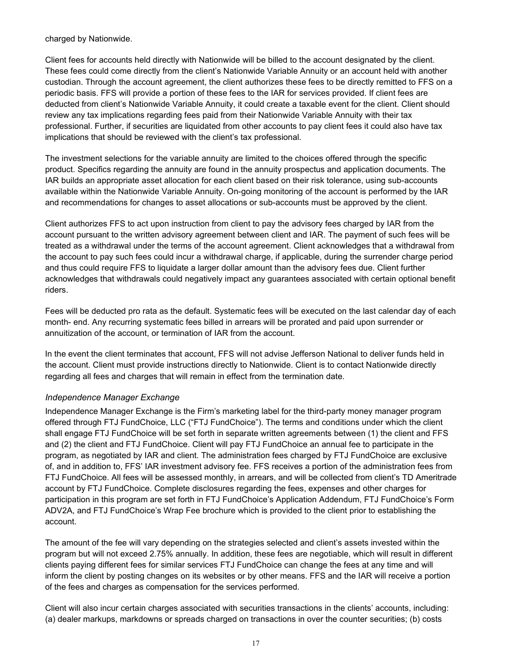charged by Nationwide.

Client fees for accounts held directly with Nationwide will be billed to the account designated by the client. These fees could come directly from the client's Nationwide Variable Annuity or an account held with another custodian. Through the account agreement, the client authorizes these fees to be directly remitted to FFS on a periodic basis. FFS will provide a portion of these fees to the IAR for services provided. If client fees are deducted from client's Nationwide Variable Annuity, it could create a taxable event for the client. Client should review any tax implications regarding fees paid from their Nationwide Variable Annuity with their tax professional. Further, if securities are liquidated from other accounts to pay client fees it could also have tax implications that should be reviewed with the client's tax professional.

The investment selections for the variable annuity are limited to the choices offered through the specific product. Specifics regarding the annuity are found in the annuity prospectus and application documents. The IAR builds an appropriate asset allocation for each client based on their risk tolerance, using sub-accounts available within the Nationwide Variable Annuity. On-going monitoring of the account is performed by the IAR and recommendations for changes to asset allocations or sub-accounts must be approved by the client.

Client authorizes FFS to act upon instruction from client to pay the advisory fees charged by IAR from the account pursuant to the written advisory agreement between client and IAR. The payment of such fees will be treated as a withdrawal under the terms of the account agreement. Client acknowledges that a withdrawal from the account to pay such fees could incur a withdrawal charge, if applicable, during the surrender charge period and thus could require FFS to liquidate a larger dollar amount than the advisory fees due. Client further acknowledges that withdrawals could negatively impact any guarantees associated with certain optional benefit riders.

Fees will be deducted pro rata as the default. Systematic fees will be executed on the last calendar day of each month- end. Any recurring systematic fees billed in arrears will be prorated and paid upon surrender or annuitization of the account, or termination of IAR from the account.

In the event the client terminates that account, FFS will not advise Jefferson National to deliver funds held in the account. Client must provide instructions directly to Nationwide. Client is to contact Nationwide directly regarding all fees and charges that will remain in effect from the termination date.

#### *Independence Manager Exchange*

Independence Manager Exchange is the Firm's marketing label for the third-party money manager program offered through FTJ FundChoice, LLC ("FTJ FundChoice"). The terms and conditions under which the client shall engage FTJ FundChoice will be set forth in separate written agreements between (1) the client and FFS and (2) the client and FTJ FundChoice. Client will pay FTJ FundChoice an annual fee to participate in the program, as negotiated by IAR and client. The administration fees charged by FTJ FundChoice are exclusive of, and in addition to, FFS' IAR investment advisory fee. FFS receives a portion of the administration fees from FTJ FundChoice. All fees will be assessed monthly, in arrears, and will be collected from client's TD Ameritrade account by FTJ FundChoice. Complete disclosures regarding the fees, expenses and other charges for participation in this program are set forth in FTJ FundChoice's Application Addendum, FTJ FundChoice's Form ADV2A, and FTJ FundChoice's Wrap Fee brochure which is provided to the client prior to establishing the account.

The amount of the fee will vary depending on the strategies selected and client's assets invested within the program but will not exceed 2.75% annually. In addition, these fees are negotiable, which will result in different clients paying different fees for similar services FTJ FundChoice can change the fees at any time and will inform the client by posting changes on its websites or by other means. FFS and the IAR will receive a portion of the fees and charges as compensation for the services performed.

Client will also incur certain charges associated with securities transactions in the clients' accounts, including: (a) dealer markups, markdowns or spreads charged on transactions in over the counter securities; (b) costs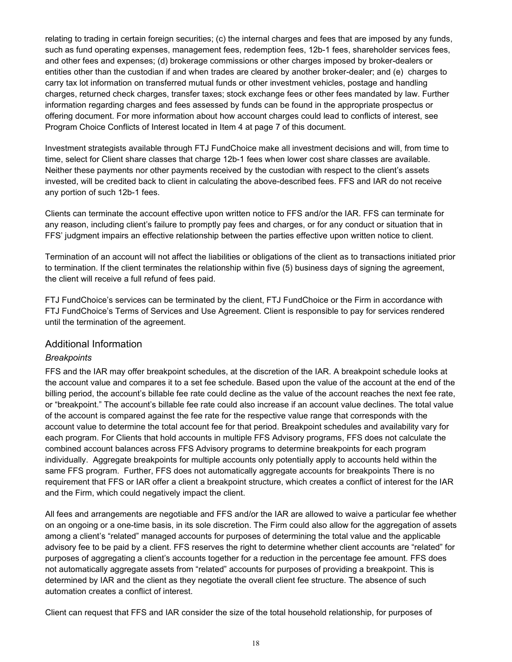relating to trading in certain foreign securities; (c) the internal charges and fees that are imposed by any funds, such as fund operating expenses, management fees, redemption fees, 12b-1 fees, shareholder services fees, and other fees and expenses; (d) brokerage commissions or other charges imposed by broker-dealers or entities other than the custodian if and when trades are cleared by another broker-dealer; and (e) charges to carry tax lot information on transferred mutual funds or other investment vehicles, postage and handling charges, returned check charges, transfer taxes; stock exchange fees or other fees mandated by law. Further information regarding charges and fees assessed by funds can be found in the appropriate prospectus or offering document. For more information about how account charges could lead to conflicts of interest, see Program Choice Conflicts of Interest located in Item 4 at page 7 of this document.

Investment strategists available through FTJ FundChoice make all investment decisions and will, from time to time, select for Client share classes that charge 12b-1 fees when lower cost share classes are available. Neither these payments nor other payments received by the custodian with respect to the client's assets invested, will be credited back to client in calculating the above-described fees. FFS and IAR do not receive any portion of such 12b-1 fees.

Clients can terminate the account effective upon written notice to FFS and/or the IAR. FFS can terminate for any reason, including client's failure to promptly pay fees and charges, or for any conduct or situation that in FFS' judgment impairs an effective relationship between the parties effective upon written notice to client.

Termination of an account will not affect the liabilities or obligations of the client as to transactions initiated prior to termination. If the client terminates the relationship within five (5) business days of signing the agreement, the client will receive a full refund of fees paid.

FTJ FundChoice's services can be terminated by the client, FTJ FundChoice or the Firm in accordance with FTJ FundChoice's Terms of Services and Use Agreement. Client is responsible to pay for services rendered until the termination of the agreement.

#### Additional Information

#### *Breakpoints*

FFS and the IAR may offer breakpoint schedules, at the discretion of the IAR. A breakpoint schedule looks at the account value and compares it to a set fee schedule. Based upon the value of the account at the end of the billing period, the account's billable fee rate could decline as the value of the account reaches the next fee rate, or "breakpoint." The account's billable fee rate could also increase if an account value declines. The total value of the account is compared against the fee rate for the respective value range that corresponds with the account value to determine the total account fee for that period. Breakpoint schedules and availability vary for each program. For Clients that hold accounts in multiple FFS Advisory programs, FFS does not calculate the combined account balances across FFS Advisory programs to determine breakpoints for each program individually. Aggregate breakpoints for multiple accounts only potentially apply to accounts held within the same FFS program. Further, FFS does not automatically aggregate accounts for breakpoints There is no requirement that FFS or IAR offer a client a breakpoint structure, which creates a conflict of interest for the IAR and the Firm, which could negatively impact the client.

All fees and arrangements are negotiable and FFS and/or the IAR are allowed to waive a particular fee whether on an ongoing or a one-time basis, in its sole discretion. The Firm could also allow for the aggregation of assets among a client's "related" managed accounts for purposes of determining the total value and the applicable advisory fee to be paid by a client. FFS reserves the right to determine whether client accounts are "related" for purposes of aggregating a client's accounts together for a reduction in the percentage fee amount. FFS does not automatically aggregate assets from "related" accounts for purposes of providing a breakpoint. This is determined by IAR and the client as they negotiate the overall client fee structure. The absence of such automation creates a conflict of interest.

Client can request that FFS and IAR consider the size of the total household relationship, for purposes of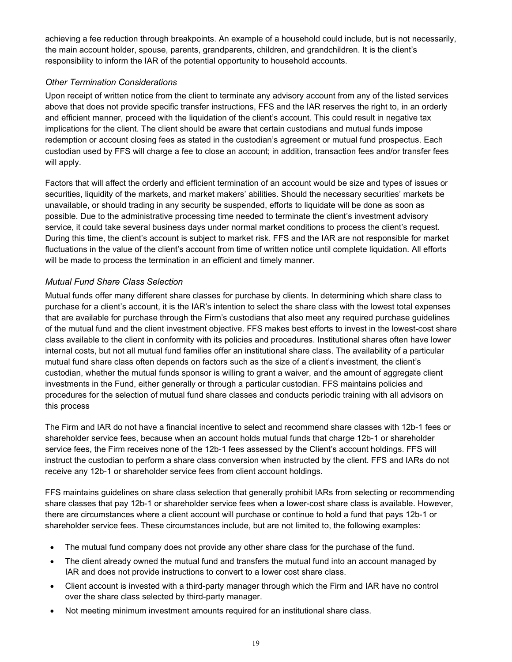achieving a fee reduction through breakpoints. An example of a household could include, but is not necessarily, the main account holder, spouse, parents, grandparents, children, and grandchildren. It is the client's responsibility to inform the IAR of the potential opportunity to household accounts.

#### *Other Termination Considerations*

Upon receipt of written notice from the client to terminate any advisory account from any of the listed services above that does not provide specific transfer instructions, FFS and the IAR reserves the right to, in an orderly and efficient manner, proceed with the liquidation of the client's account. This could result in negative tax implications for the client. The client should be aware that certain custodians and mutual funds impose redemption or account closing fees as stated in the custodian's agreement or mutual fund prospectus. Each custodian used by FFS will charge a fee to close an account; in addition, transaction fees and/or transfer fees will apply.

Factors that will affect the orderly and efficient termination of an account would be size and types of issues or securities, liquidity of the markets, and market makers' abilities. Should the necessary securities' markets be unavailable, or should trading in any security be suspended, efforts to liquidate will be done as soon as possible. Due to the administrative processing time needed to terminate the client's investment advisory service, it could take several business days under normal market conditions to process the client's request. During this time, the client's account is subject to market risk. FFS and the IAR are not responsible for market fluctuations in the value of the client's account from time of written notice until complete liquidation. All efforts will be made to process the termination in an efficient and timely manner.

#### *Mutual Fund Share Class Selection*

Mutual funds offer many different share classes for purchase by clients. In determining which share class to purchase for a client's account, it is the IAR's intention to select the share class with the lowest total expenses that are available for purchase through the Firm's custodians that also meet any required purchase guidelines of the mutual fund and the client investment objective. FFS makes best efforts to invest in the lowest-cost share class available to the client in conformity with its policies and procedures. Institutional shares often have lower internal costs, but not all mutual fund families offer an institutional share class. The availability of a particular mutual fund share class often depends on factors such as the size of a client's investment, the client's custodian, whether the mutual funds sponsor is willing to grant a waiver, and the amount of aggregate client investments in the Fund, either generally or through a particular custodian. FFS maintains policies and procedures for the selection of mutual fund share classes and conducts periodic training with all advisors on this process

The Firm and IAR do not have a financial incentive to select and recommend share classes with 12b-1 fees or shareholder service fees, because when an account holds mutual funds that charge 12b-1 or shareholder service fees, the Firm receives none of the 12b-1 fees assessed by the Client's account holdings. FFS will instruct the custodian to perform a share class conversion when instructed by the client. FFS and IARs do not receive any 12b-1 or shareholder service fees from client account holdings.

FFS maintains guidelines on share class selection that generally prohibit IARs from selecting or recommending share classes that pay 12b-1 or shareholder service fees when a lower-cost share class is available. However, there are circumstances where a client account will purchase or continue to hold a fund that pays 12b-1 or shareholder service fees. These circumstances include, but are not limited to, the following examples:

- The mutual fund company does not provide any other share class for the purchase of the fund.
- The client already owned the mutual fund and transfers the mutual fund into an account managed by IAR and does not provide instructions to convert to a lower cost share class.
- Client account is invested with a third-party manager through which the Firm and IAR have no control over the share class selected by third-party manager.
- Not meeting minimum investment amounts required for an institutional share class.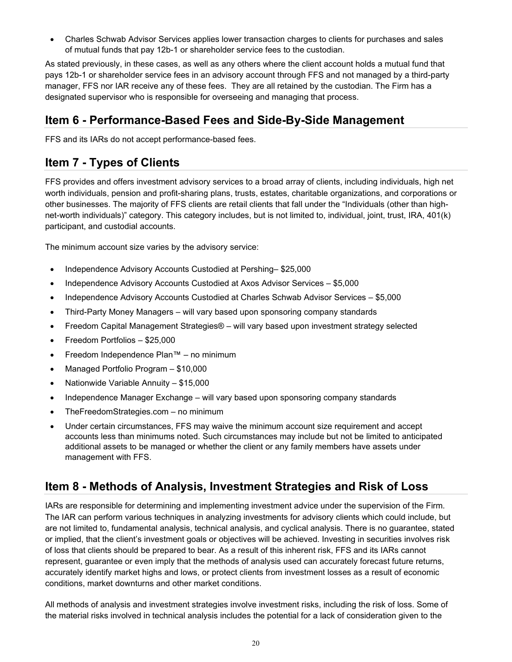• Charles Schwab Advisor Services applies lower transaction charges to clients for purchases and sales of mutual funds that pay 12b-1 or shareholder service fees to the custodian.

As stated previously, in these cases, as well as any others where the client account holds a mutual fund that pays 12b-1 or shareholder service fees in an advisory account through FFS and not managed by a third-party manager, FFS nor IAR receive any of these fees. They are all retained by the custodian. The Firm has a designated supervisor who is responsible for overseeing and managing that process.

### <span id="page-19-0"></span>**Item 6 - Performance-Based Fees and Side-By-Side Management**

FFS and its IARs do not accept performance-based fees.

### <span id="page-19-1"></span>**Item 7 - Types of Clients**

FFS provides and offers investment advisory services to a broad array of clients, including individuals, high net worth individuals, pension and profit-sharing plans, trusts, estates, charitable organizations, and corporations or other businesses. The majority of FFS clients are retail clients that fall under the "Individuals (other than highnet-worth individuals)" category. This category includes, but is not limited to, individual, joint, trust, IRA, 401(k) participant, and custodial accounts.

The minimum account size varies by the advisory service:

- Independence Advisory Accounts Custodied at Pershing– \$25,000
- Independence Advisory Accounts Custodied at Axos Advisor Services \$5,000
- Independence Advisory Accounts Custodied at Charles Schwab Advisor Services \$5,000
- Third-Party Money Managers will vary based upon sponsoring company standards
- Freedom Capital Management Strategies® will vary based upon investment strategy selected
- Freedom Portfolios \$25,000
- Freedom Independence Plan™ no minimum
- Managed Portfolio Program \$10,000
- Nationwide Variable Annuity \$15,000
- Independence Manager Exchange will vary based upon sponsoring company standards
- TheFreedomStrategies.com no minimum
- Under certain circumstances, FFS may waive the minimum account size requirement and accept accounts less than minimums noted. Such circumstances may include but not be limited to anticipated additional assets to be managed or whether the client or any family members have assets under management with FFS.

# <span id="page-19-2"></span>**Item 8 - Methods of Analysis, Investment Strategies and Risk of Loss**

IARs are responsible for determining and implementing investment advice under the supervision of the Firm. The IAR can perform various techniques in analyzing investments for advisory clients which could include, but are not limited to, fundamental analysis, technical analysis, and cyclical analysis. There is no guarantee, stated or implied, that the client's investment goals or objectives will be achieved. Investing in securities involves risk of loss that clients should be prepared to bear. As a result of this inherent risk, FFS and its IARs cannot represent, guarantee or even imply that the methods of analysis used can accurately forecast future returns, accurately identify market highs and lows, or protect clients from investment losses as a result of economic conditions, market downturns and other market conditions.

All methods of analysis and investment strategies involve investment risks, including the risk of loss. Some of the material risks involved in technical analysis includes the potential for a lack of consideration given to the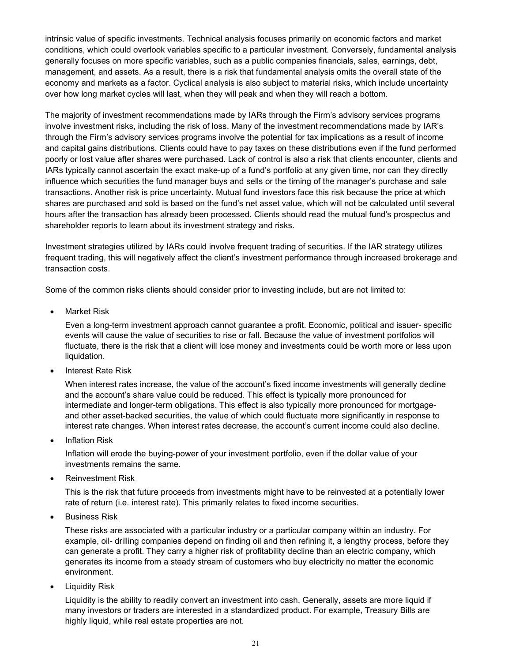intrinsic value of specific investments. Technical analysis focuses primarily on economic factors and market conditions, which could overlook variables specific to a particular investment. Conversely, fundamental analysis generally focuses on more specific variables, such as a public companies financials, sales, earnings, debt, management, and assets. As a result, there is a risk that fundamental analysis omits the overall state of the economy and markets as a factor. Cyclical analysis is also subject to material risks, which include uncertainty over how long market cycles will last, when they will peak and when they will reach a bottom.

The majority of investment recommendations made by IARs through the Firm's advisory services programs involve investment risks, including the risk of loss. Many of the investment recommendations made by IAR's through the Firm's advisory services programs involve the potential for tax implications as a result of income and capital gains distributions. Clients could have to pay taxes on these distributions even if the fund performed poorly or lost value after shares were purchased. Lack of control is also a risk that clients encounter, clients and IARs typically cannot ascertain the exact make-up of a fund's portfolio at any given time, nor can they directly influence which securities the fund manager buys and sells or the timing of the manager's purchase and sale transactions. Another risk is price uncertainty. Mutual fund investors face this risk because the price at which shares are purchased and sold is based on the fund's net asset value, which will not be calculated until several hours after the transaction has already been processed. Clients should read the mutual fund's prospectus and shareholder reports to learn about its investment strategy and risks.

Investment strategies utilized by IARs could involve frequent trading of securities. If the IAR strategy utilizes frequent trading, this will negatively affect the client's investment performance through increased brokerage and transaction costs.

Some of the common risks clients should consider prior to investing include, but are not limited to:

• Market Risk

Even a long-term investment approach cannot guarantee a profit. Economic, political and issuer- specific events will cause the value of securities to rise or fall. Because the value of investment portfolios will fluctuate, there is the risk that a client will lose money and investments could be worth more or less upon liquidation.

• Interest Rate Risk

When interest rates increase, the value of the account's fixed income investments will generally decline and the account's share value could be reduced. This effect is typically more pronounced for intermediate and longer-term obligations. This effect is also typically more pronounced for mortgageand other asset-backed securities, the value of which could fluctuate more significantly in response to interest rate changes. When interest rates decrease, the account's current income could also decline.

**Inflation Risk** 

Inflation will erode the buying-power of your investment portfolio, even if the dollar value of your investments remains the same.

• Reinvestment Risk

This is the risk that future proceeds from investments might have to be reinvested at a potentially lower rate of return (i.e. interest rate). This primarily relates to fixed income securities.

• Business Risk

These risks are associated with a particular industry or a particular company within an industry. For example, oil- drilling companies depend on finding oil and then refining it, a lengthy process, before they can generate a profit. They carry a higher risk of profitability decline than an electric company, which generates its income from a steady stream of customers who buy electricity no matter the economic environment.

• Liquidity Risk

Liquidity is the ability to readily convert an investment into cash. Generally, assets are more liquid if many investors or traders are interested in a standardized product. For example, Treasury Bills are highly liquid, while real estate properties are not.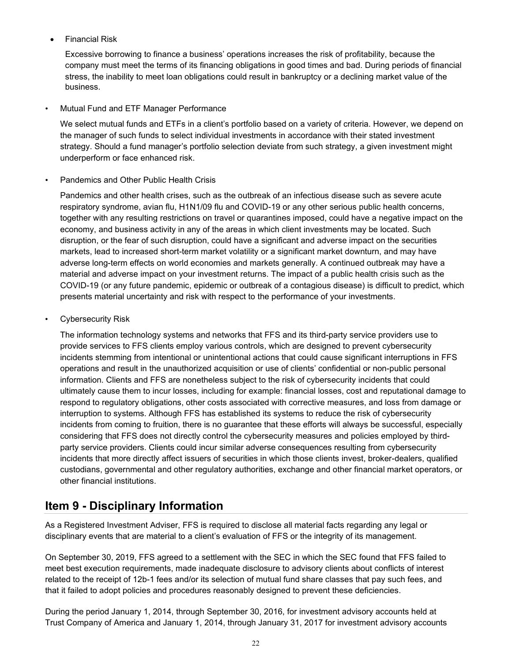• Financial Risk

Excessive borrowing to finance a business' operations increases the risk of profitability, because the company must meet the terms of its financing obligations in good times and bad. During periods of financial stress, the inability to meet loan obligations could result in bankruptcy or a declining market value of the business.

#### • Mutual Fund and ETF Manager Performance

We select mutual funds and ETFs in a client's portfolio based on a variety of criteria. However, we depend on the manager of such funds to select individual investments in accordance with their stated investment strategy. Should a fund manager's portfolio selection deviate from such strategy, a given investment might underperform or face enhanced risk.

#### • Pandemics and Other Public Health Crisis

Pandemics and other health crises, such as the outbreak of an infectious disease such as severe acute respiratory syndrome, avian flu, H1N1/09 flu and COVID-19 or any other serious public health concerns, together with any resulting restrictions on travel or quarantines imposed, could have a negative impact on the economy, and business activity in any of the areas in which client investments may be located. Such disruption, or the fear of such disruption, could have a significant and adverse impact on the securities markets, lead to increased short-term market volatility or a significant market downturn, and may have adverse long-term effects on world economies and markets generally. A continued outbreak may have a material and adverse impact on your investment returns. The impact of a public health crisis such as the COVID-19 (or any future pandemic, epidemic or outbreak of a contagious disease) is difficult to predict, which presents material uncertainty and risk with respect to the performance of your investments.

#### Cybersecurity Risk

The information technology systems and networks that FFS and its third-party service providers use to provide services to FFS clients employ various controls, which are designed to prevent cybersecurity incidents stemming from intentional or unintentional actions that could cause significant interruptions in FFS operations and result in the unauthorized acquisition or use of clients' confidential or non-public personal information. Clients and FFS are nonetheless subject to the risk of cybersecurity incidents that could ultimately cause them to incur losses, including for example: financial losses, cost and reputational damage to respond to regulatory obligations, other costs associated with corrective measures, and loss from damage or interruption to systems. Although FFS has established its systems to reduce the risk of cybersecurity incidents from coming to fruition, there is no guarantee that these efforts will always be successful, especially considering that FFS does not directly control the cybersecurity measures and policies employed by thirdparty service providers. Clients could incur similar adverse consequences resulting from cybersecurity incidents that more directly affect issuers of securities in which those clients invest, broker-dealers, qualified custodians, governmental and other regulatory authorities, exchange and other financial market operators, or other financial institutions.

### <span id="page-21-0"></span>**Item 9 - Disciplinary Information**

As a Registered Investment Adviser, FFS is required to disclose all material facts regarding any legal or disciplinary events that are material to a client's evaluation of FFS or the integrity of its management.

On September 30, 2019, FFS agreed to a settlement with the SEC in which the SEC found that FFS failed to meet best execution requirements, made inadequate disclosure to advisory clients about conflicts of interest related to the receipt of 12b-1 fees and/or its selection of mutual fund share classes that pay such fees, and that it failed to adopt policies and procedures reasonably designed to prevent these deficiencies.

During the period January 1, 2014, through September 30, 2016, for investment advisory accounts held at Trust Company of America and January 1, 2014, through January 31, 2017 for investment advisory accounts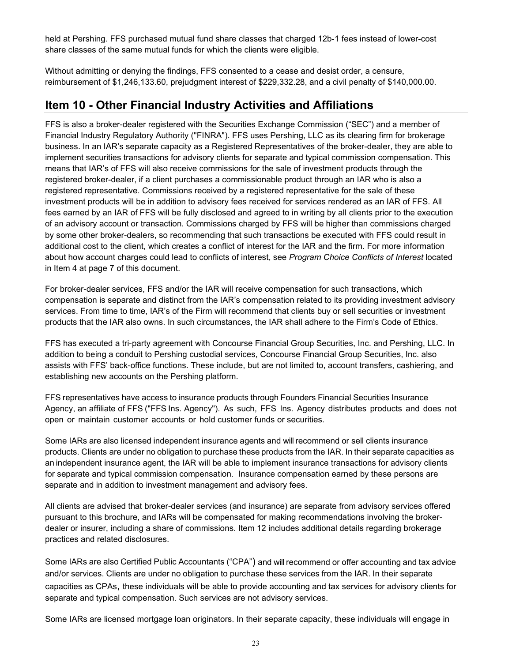held at Pershing. FFS purchased mutual fund share classes that charged 12b-1 fees instead of lower-cost share classes of the same mutual funds for which the clients were eligible.

Without admitting or denying the findings, FFS consented to a cease and desist order, a censure, reimbursement of \$1,246,133.60, prejudgment interest of \$229,332.28, and a civil penalty of \$140,000.00.

### <span id="page-22-0"></span>**Item 10 - Other Financial Industry Activities and Affiliations**

FFS is also a broker-dealer registered with the Securities Exchange Commission ("SEC") and a member of Financial Industry Regulatory Authority ("FINRA"). FFS uses Pershing, LLC as its clearing firm for brokerage business. In an IAR's separate capacity as a Registered Representatives of the broker-dealer, they are able to implement securities transactions for advisory clients for separate and typical commission compensation. This means that IAR's of FFS will also receive commissions for the sale of investment products through the registered broker-dealer, if a client purchases a commissionable product through an IAR who is also a registered representative. Commissions received by a registered representative for the sale of these investment products will be in addition to advisory fees received for services rendered as an IAR of FFS. All fees earned by an IAR of FFS will be fully disclosed and agreed to in writing by all clients prior to the execution of an advisory account or transaction. Commissions charged by FFS will be higher than commissions charged by some other broker-dealers, so recommending that such transactions be executed with FFS could result in additional cost to the client, which creates a conflict of interest for the IAR and the firm. For more information about how account charges could lead to conflicts of interest, see *Program Choice Conflicts of Interest* located in Item 4 at page 7 of this document.

For broker-dealer services, FFS and/or the IAR will receive compensation for such transactions, which compensation is separate and distinct from the IAR's compensation related to its providing investment advisory services. From time to time, IAR's of the Firm will recommend that clients buy or sell securities or investment products that the IAR also owns. In such circumstances, the IAR shall adhere to the Firm's Code of Ethics.

FFS has executed a tri-party agreement with Concourse Financial Group Securities, Inc. and Pershing, LLC. In addition to being a conduit to Pershing custodial services, Concourse Financial Group Securities, Inc. also assists with FFS' back-office functions. These include, but are not limited to, account transfers, cashiering, and establishing new accounts on the Pershing platform.

FFS representatives have access to insurance products through Founders Financial Securities Insurance Agency, an affiliate of FFS ("FFS Ins. Agency"). As such, FFS Ins. Agency distributes products and does not open or maintain customer accounts or hold customer funds or securities.

Some IARs are also licensed independent insurance agents and will recommend or sell clients insurance products. Clients are under no obligation to purchase these products from the IAR. In their separate capacities as an independent insurance agent, the IAR will be able to implement insurance transactions for advisory clients for separate and typical commission compensation. Insurance compensation earned by these persons are separate and in addition to investment management and advisory fees.

All clients are advised that broker-dealer services (and insurance) are separate from advisory services offered pursuant to this brochure, and IARs will be compensated for making recommendations involving the brokerdealer or insurer, including a share of commissions. Item 12 includes additional details regarding brokerage practices and related disclosures.

Some IARs are also Certified Public Accountants ("CPA") and will recommend or offer accounting and tax advice and/or services. Clients are under no obligation to purchase these services from the IAR. In their separate capacities as CPAs, these individuals will be able to provide accounting and tax services for advisory clients for separate and typical compensation. Such services are not advisory services.

Some IARs are licensed mortgage loan originators. In their separate capacity, these individuals will engage in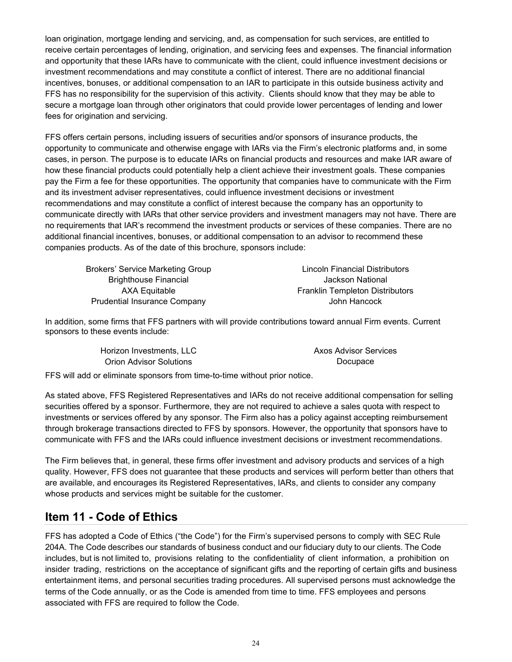loan origination, mortgage lending and servicing, and, as compensation for such services, are entitled to receive certain percentages of lending, origination, and servicing fees and expenses. The financial information and opportunity that these IARs have to communicate with the client, could influence investment decisions or investment recommendations and may constitute a conflict of interest. There are no additional financial incentives, bonuses, or additional compensation to an IAR to participate in this outside business activity and FFS has no responsibility for the supervision of this activity. Clients should know that they may be able to secure a mortgage loan through other originators that could provide lower percentages of lending and lower fees for origination and servicing.

FFS offers certain persons, including issuers of securities and/or sponsors of insurance products, the opportunity to communicate and otherwise engage with IARs via the Firm's electronic platforms and, in some cases, in person. The purpose is to educate IARs on financial products and resources and make IAR aware of how these financial products could potentially help a client achieve their investment goals. These companies pay the Firm a fee for these opportunities. The opportunity that companies have to communicate with the Firm and its investment adviser representatives, could influence investment decisions or investment recommendations and may constitute a conflict of interest because the company has an opportunity to communicate directly with IARs that other service providers and investment managers may not have. There are no requirements that IAR's recommend the investment products or services of these companies. There are no additional financial incentives, bonuses, or additional compensation to an advisor to recommend these companies products. As of the date of this brochure, sponsors include:

Brokers' Service Marketing Group Lincoln Financial Distributors Brighthouse Financial and Table 1 and Tackson National Jackson National Prudential Insurance Company **Accord Providential Insurance Company** John Hancock

AXA Equitable Franklin Templeton Distributors

In addition, some firms that FFS partners with will provide contributions toward annual Firm events. Current sponsors to these events include:

| Horizon Investments, LLC | <b>Axos Advisor Services</b> |
|--------------------------|------------------------------|
| Orion Advisor Solutions  | Docupace                     |

FFS will add or eliminate sponsors from time-to-time without prior notice.

As stated above, FFS Registered Representatives and IARs do not receive additional compensation for selling securities offered by a sponsor. Furthermore, they are not required to achieve a sales quota with respect to investments or services offered by any sponsor. The Firm also has a policy against accepting reimbursement through brokerage transactions directed to FFS by sponsors. However, the opportunity that sponsors have to communicate with FFS and the IARs could influence investment decisions or investment recommendations.

The Firm believes that, in general, these firms offer investment and advisory products and services of a high quality. However, FFS does not guarantee that these products and services will perform better than others that are available, and encourages its Registered Representatives, IARs, and clients to consider any company whose products and services might be suitable for the customer.

### <span id="page-23-0"></span>**Item 11 - Code of Ethics**

FFS has adopted a Code of Ethics ("the Code") for the Firm's supervised persons to comply with SEC Rule 204A. The Code describes our standards of business conduct and our fiduciary duty to our clients. The Code includes, but is not limited to, provisions relating to the confidentiality of client information, a prohibition on insider trading, restrictions on the acceptance of significant gifts and the reporting of certain gifts and business entertainment items, and personal securities trading procedures. All supervised persons must acknowledge the terms of the Code annually, or as the Code is amended from time to time. FFS employees and persons associated with FFS are required to follow the Code.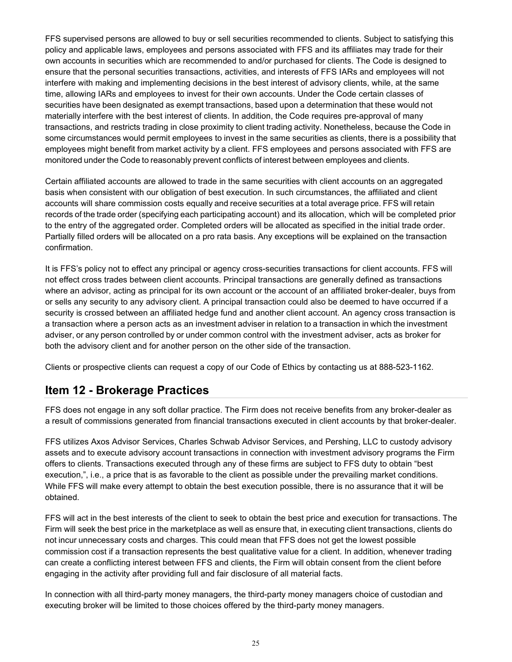FFS supervised persons are allowed to buy or sell securities recommended to clients. Subject to satisfying this policy and applicable laws, employees and persons associated with FFS and its affiliates may trade for their own accounts in securities which are recommended to and/or purchased for clients. The Code is designed to ensure that the personal securities transactions, activities, and interests of FFS IARs and employees will not interfere with making and implementing decisions in the best interest of advisory clients, while, at the same time, allowing IARs and employees to invest for their own accounts. Under the Code certain classes of securities have been designated as exempt transactions, based upon a determination that these would not materially interfere with the best interest of clients. In addition, the Code requires pre-approval of many transactions, and restricts trading in close proximity to client trading activity. Nonetheless, because the Code in some circumstances would permit employees to invest in the same securities as clients, there is a possibility that employees might benefit from market activity by a client. FFS employees and persons associated with FFS are monitored under the Code to reasonably prevent conflicts of interest between employees and clients.

Certain affiliated accounts are allowed to trade in the same securities with client accounts on an aggregated basis when consistent with our obligation of best execution. In such circumstances, the affiliated and client accounts will share commission costs equally and receive securities at a total average price. FFS will retain records of the trade order (specifying each participating account) and its allocation, which will be completed prior to the entry of the aggregated order. Completed orders will be allocated as specified in the initial trade order. Partially filled orders will be allocated on a pro rata basis. Any exceptions will be explained on the transaction confirmation.

It is FFS's policy not to effect any principal or agency cross-securities transactions for client accounts. FFS will not effect cross trades between client accounts. Principal transactions are generally defined as transactions where an advisor, acting as principal for its own account or the account of an affiliated broker-dealer, buys from or sells any security to any advisory client. A principal transaction could also be deemed to have occurred if a security is crossed between an affiliated hedge fund and another client account. An agency cross transaction is a transaction where a person acts as an investment adviser in relation to a transaction in which the investment adviser, or any person controlled by or under common control with the investment adviser, acts as broker for both the advisory client and for another person on the other side of the transaction.

Clients or prospective clients can request a copy of our Code of Ethics by contacting us at 888-523-1162.

### <span id="page-24-0"></span>**Item 12 - Brokerage Practices**

FFS does not engage in any soft dollar practice. The Firm does not receive benefits from any broker-dealer as a result of commissions generated from financial transactions executed in client accounts by that broker-dealer.

FFS utilizes Axos Advisor Services, Charles Schwab Advisor Services, and Pershing, LLC to custody advisory assets and to execute advisory account transactions in connection with investment advisory programs the Firm offers to clients. Transactions executed through any of these firms are subject to FFS duty to obtain "best execution,", i.e., a price that is as favorable to the client as possible under the prevailing market conditions. While FFS will make every attempt to obtain the best execution possible, there is no assurance that it will be obtained.

FFS will act in the best interests of the client to seek to obtain the best price and execution for transactions. The Firm will seek the best price in the marketplace as well as ensure that, in executing client transactions, clients do not incur unnecessary costs and charges. This could mean that FFS does not get the lowest possible commission cost if a transaction represents the best qualitative value for a client. In addition, whenever trading can create a conflicting interest between FFS and clients, the Firm will obtain consent from the client before engaging in the activity after providing full and fair disclosure of all material facts.

In connection with all third-party money managers, the third-party money managers choice of custodian and executing broker will be limited to those choices offered by the third-party money managers.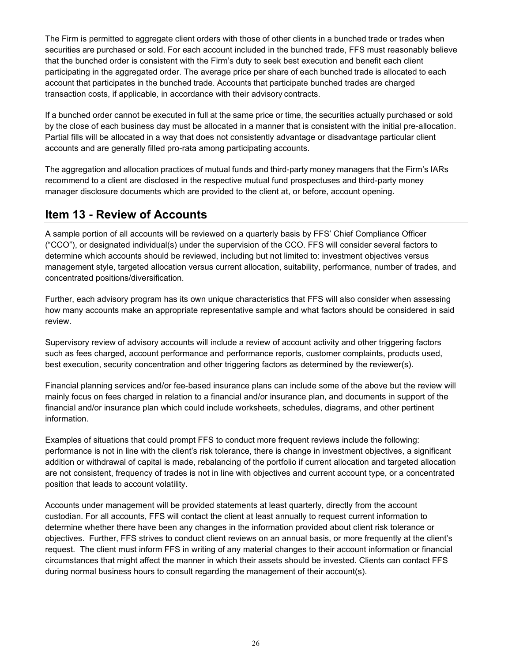The Firm is permitted to aggregate client orders with those of other clients in a bunched trade or trades when securities are purchased or sold. For each account included in the bunched trade, FFS must reasonably believe that the bunched order is consistent with the Firm's duty to seek best execution and benefit each client participating in the aggregated order. The average price per share of each bunched trade is allocated to each account that participates in the bunched trade. Accounts that participate bunched trades are charged transaction costs, if applicable, in accordance with their advisory contracts.

If a bunched order cannot be executed in full at the same price or time, the securities actually purchased or sold by the close of each business day must be allocated in a manner that is consistent with the initial pre-allocation. Partial fills will be allocated in a way that does not consistently advantage or disadvantage particular client accounts and are generally filled pro-rata among participating accounts.

The aggregation and allocation practices of mutual funds and third-party money managers that the Firm's IARs recommend to a client are disclosed in the respective mutual fund prospectuses and third-party money manager disclosure documents which are provided to the client at, or before, account opening.

# <span id="page-25-0"></span>**Item 13 - Review of Accounts**

A sample portion of all accounts will be reviewed on a quarterly basis by FFS' Chief Compliance Officer ("CCO"), or designated individual(s) under the supervision of the CCO. FFS will consider several factors to determine which accounts should be reviewed, including but not limited to: investment objectives versus management style, targeted allocation versus current allocation, suitability, performance, number of trades, and concentrated positions/diversification.

Further, each advisory program has its own unique characteristics that FFS will also consider when assessing how many accounts make an appropriate representative sample and what factors should be considered in said review.

Supervisory review of advisory accounts will include a review of account activity and other triggering factors such as fees charged, account performance and performance reports, customer complaints, products used, best execution, security concentration and other triggering factors as determined by the reviewer(s).

Financial planning services and/or fee-based insurance plans can include some of the above but the review will mainly focus on fees charged in relation to a financial and/or insurance plan, and documents in support of the financial and/or insurance plan which could include worksheets, schedules, diagrams, and other pertinent information.

Examples of situations that could prompt FFS to conduct more frequent reviews include the following: performance is not in line with the client's risk tolerance, there is change in investment objectives, a significant addition or withdrawal of capital is made, rebalancing of the portfolio if current allocation and targeted allocation are not consistent, frequency of trades is not in line with objectives and current account type, or a concentrated position that leads to account volatility.

Accounts under management will be provided statements at least quarterly, directly from the account custodian. For all accounts, FFS will contact the client at least annually to request current information to determine whether there have been any changes in the information provided about client risk tolerance or objectives. Further, FFS strives to conduct client reviews on an annual basis, or more frequently at the client's request. The client must inform FFS in writing of any material changes to their account information or financial circumstances that might affect the manner in which their assets should be invested. Clients can contact FFS during normal business hours to consult regarding the management of their account(s).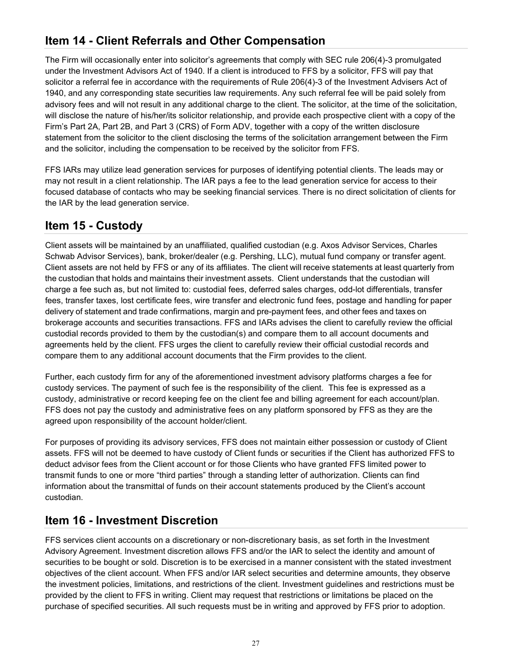# <span id="page-26-0"></span>**Item 14 - Client Referrals and Other Compensation**

The Firm will occasionally enter into solicitor's agreements that comply with SEC rule 206(4)-3 promulgated under the Investment Advisors Act of 1940. If a client is introduced to FFS by a solicitor, FFS will pay that solicitor a referral fee in accordance with the requirements of Rule 206(4)-3 of the Investment Advisers Act of 1940, and any corresponding state securities law requirements. Any such referral fee will be paid solely from advisory fees and will not result in any additional charge to the client. The solicitor, at the time of the solicitation, will disclose the nature of his/her/its solicitor relationship, and provide each prospective client with a copy of the Firm's Part 2A, Part 2B, and Part 3 (CRS) of Form ADV, together with a copy of the written disclosure statement from the solicitor to the client disclosing the terms of the solicitation arrangement between the Firm and the solicitor, including the compensation to be received by the solicitor from FFS.

FFS IARs may utilize lead generation services for purposes of identifying potential clients. The leads may or may not result in a client relationship. The IAR pays a fee to the lead generation service for access to their focused database of contacts who may be seeking financial services. There is no direct solicitation of clients for the IAR by the lead generation service.

### <span id="page-26-1"></span>**Item 15 - Custody**

Client assets will be maintained by an unaffiliated, qualified custodian (e.g. Axos Advisor Services, Charles Schwab Advisor Services), bank, broker/dealer (e.g. Pershing, LLC), mutual fund company or transfer agent. Client assets are not held by FFS or any of its affiliates. The client will receive statements at least quarterly from the custodian that holds and maintains their investment assets. Client understands that the custodian will charge a fee such as, but not limited to: custodial fees, deferred sales charges, odd-lot differentials, transfer fees, transfer taxes, lost certificate fees, wire transfer and electronic fund fees, postage and handling for paper delivery of statement and trade confirmations, margin and pre-payment fees, and other fees and taxes on brokerage accounts and securities transactions. FFS and IARs advises the client to carefully review the official custodial records provided to them by the custodian(s) and compare them to all account documents and agreements held by the client. FFS urges the client to carefully review their official custodial records and compare them to any additional account documents that the Firm provides to the client.

Further, each custody firm for any of the aforementioned investment advisory platforms charges a fee for custody services. The payment of such fee is the responsibility of the client. This fee is expressed as a custody, administrative or record keeping fee on the client fee and billing agreement for each account/plan. FFS does not pay the custody and administrative fees on any platform sponsored by FFS as they are the agreed upon responsibility of the account holder/client.

For purposes of providing its advisory services, FFS does not maintain either possession or custody of Client assets. FFS will not be deemed to have custody of Client funds or securities if the Client has authorized FFS to deduct advisor fees from the Client account or for those Clients who have granted FFS limited power to transmit funds to one or more "third parties" through a standing letter of authorization. Clients can find information about the transmittal of funds on their account statements produced by the Client's account custodian.

# <span id="page-26-2"></span>**Item 16 - Investment Discretion**

FFS services client accounts on a discretionary or non-discretionary basis, as set forth in the Investment Advisory Agreement. Investment discretion allows FFS and/or the IAR to select the identity and amount of securities to be bought or sold. Discretion is to be exercised in a manner consistent with the stated investment objectives of the client account. When FFS and/or IAR select securities and determine amounts, they observe the investment policies, limitations, and restrictions of the client. Investment guidelines and restrictions must be provided by the client to FFS in writing. Client may request that restrictions or limitations be placed on the purchase of specified securities. All such requests must be in writing and approved by FFS prior to adoption.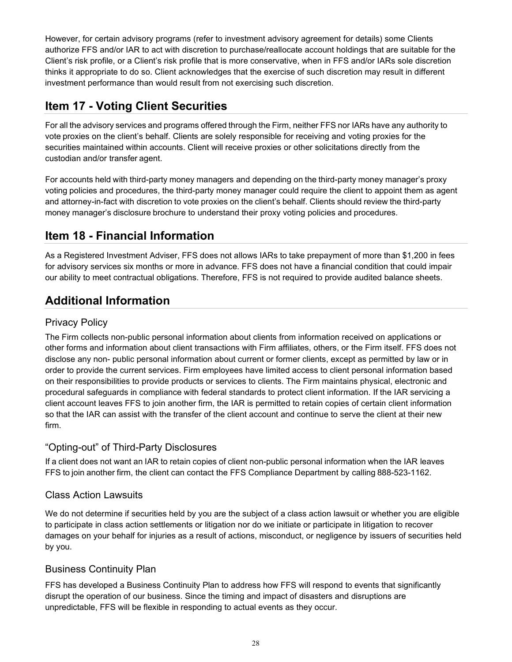However, for certain advisory programs (refer to investment advisory agreement for details) some Clients authorize FFS and/or IAR to act with discretion to purchase/reallocate account holdings that are suitable for the Client's risk profile, or a Client's risk profile that is more conservative, when in FFS and/or IARs sole discretion thinks it appropriate to do so. Client acknowledges that the exercise of such discretion may result in different investment performance than would result from not exercising such discretion.

# <span id="page-27-0"></span>**Item 17 - Voting Client Securities**

For all the advisory services and programs offered through the Firm, neither FFS nor IARs have any authority to vote proxies on the client's behalf. Clients are solely responsible for receiving and voting proxies for the securities maintained within accounts. Client will receive proxies or other solicitations directly from the custodian and/or transfer agent.

For accounts held with third-party money managers and depending on the third-party money manager's proxy voting policies and procedures, the third-party money manager could require the client to appoint them as agent and attorney-in-fact with discretion to vote proxies on the client's behalf. Clients should review the third-party money manager's disclosure brochure to understand their proxy voting policies and procedures.

# <span id="page-27-1"></span>**Item 18 - Financial Information**

As a Registered Investment Adviser, FFS does not allows IARs to take prepayment of more than \$1,200 in fees for advisory services six months or more in advance. FFS does not have a financial condition that could impair our ability to meet contractual obligations. Therefore, FFS is not required to provide audited balance sheets.

# <span id="page-27-2"></span>**Additional Information**

### Privacy Policy

The Firm collects non-public personal information about clients from information received on applications or other forms and information about client transactions with Firm affiliates, others, or the Firm itself. FFS does not disclose any non- public personal information about current or former clients, except as permitted by law or in order to provide the current services. Firm employees have limited access to client personal information based on their responsibilities to provide products or services to clients. The Firm maintains physical, electronic and procedural safeguards in compliance with federal standards to protect client information. If the IAR servicing a client account leaves FFS to join another firm, the IAR is permitted to retain copies of certain client information so that the IAR can assist with the transfer of the client account and continue to serve the client at their new firm.

### "Opting-out" of Third-Party Disclosures

If a client does not want an IAR to retain copies of client non-public personal information when the IAR leaves FFS to join another firm, the client can contact the FFS Compliance Department by calling 888-523-1162.

### Class Action Lawsuits

We do not determine if securities held by you are the subject of a class action lawsuit or whether you are eligible to participate in class action settlements or litigation nor do we initiate or participate in litigation to recover damages on your behalf for injuries as a result of actions, misconduct, or negligence by issuers of securities held by you.

### Business Continuity Plan

FFS has developed a Business Continuity Plan to address how FFS will respond to events that significantly disrupt the operation of our business. Since the timing and impact of disasters and disruptions are unpredictable, FFS will be flexible in responding to actual events as they occur.